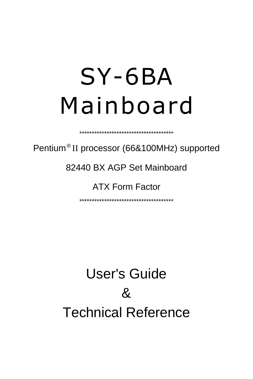# SY-6BA Mainboard

Pentium® II processor (66&100MHz) supported

\*\*\*\*\*\*\*\*\*\*\*\*\*\*\*\*\*\*\*\*\*\*\*\*\*\*\*\*\*\*\*\*\*\*\*\*\*\*

82440 BX AGP Set Mainboard

ATX Form Factor

\*\*\*\*\*\*\*\*\*\*\*\*\*\*\*\*\*\*\*\*\*\*\*\*\*\*\*\*\*\*\*\*\*\*\*\*\*\*

User's Guide  $\mathcal{R}_{\mathbf{z}}$ Technical Reference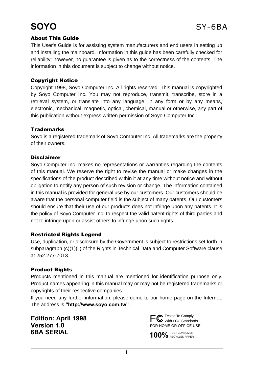# **SOYO**

#### About This Guide

This User's Guide is for assisting system manufacturers and end users in setting up and installing the mainboard. Information in this guide has been carefully checked for reliability; however, no guarantee is given as to the correctness of the contents. The information in this document is subject to change without notice.

#### Copyright Notice

Copyright 1998, Soyo Computer Inc. All rights reserved. This manual is copyrighted by Soyo Computer Inc. You may not reproduce, transmit, transcribe, store in a retrieval system, or translate into any language, in any form or by any means, electronic, mechanical, magnetic, optical, chemical, manual or otherwise, any part of this publication without express written permission of Soyo Computer Inc.

#### **Trademarks**

Soyo is a registered trademark of Soyo Computer Inc. All trademarks are the property of their owners.

#### Disclaimer

Soyo Computer Inc. makes no representations or warranties regarding the contents of this manual. We reserve the right to revise the manual or make changes in the specifications of the product described within it at any time without notice and without obligation to notify any person of such revision or change. The information contained in this manual is provided for general use by our customers. Our customers should be aware that the personal computer field is the subject of many patents. Our customers should ensure that their use of our products does not infringe upon any patents. It is the policy of Soyo Computer Inc. to respect the valid patent rights of third parties and not to infringe upon or assist others to infringe upon such rights.

#### Restricted Rights Legend

Use, duplication, or disclosure by the Government is subject to restrictions set forth in subparagraph (c)(1)(ii) of the Rights in Technical Data and Computer Software clause at 252.277-7013.

#### Product Rights

Products mentioned in this manual are mentioned for identification purpose only. Product names appearing in this manual may or may not be registered trademarks or copyrights of their respective companies.

If you need any further information, please come to our home page on the Internet. The address is **"http://www.soyo.com.tw"**.

**Edition: April 1998 Version 1.0 6BA SERIAL**



100% POST CONSUMER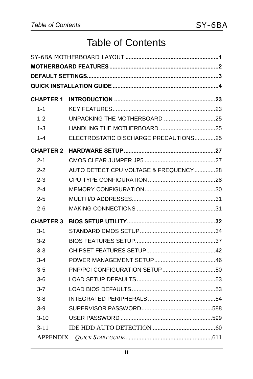# Table of Contents

| <b>CHAPTER 1</b> |                                       |  |
|------------------|---------------------------------------|--|
| $1 - 1$          |                                       |  |
| $1 - 2$          |                                       |  |
| $1 - 3$          |                                       |  |
| $1 - 4$          | ELECTROSTATIC DISCHARGE PRECAUTIONS25 |  |
| <b>CHAPTER 2</b> |                                       |  |
| $2 - 1$          |                                       |  |
| $2 - 2$          | AUTO DETECT CPU VOLTAGE & FREQUENCY28 |  |
| $2 - 3$          |                                       |  |
| $2 - 4$          |                                       |  |
| $2 - 5$          |                                       |  |
| $2 - 6$          |                                       |  |
| <b>CHAPTER 3</b> |                                       |  |
| $3 - 1$          |                                       |  |
| $3-2$            |                                       |  |
| $3-3$            |                                       |  |
| $3 - 4$          |                                       |  |
| $3 - 5$          |                                       |  |
| 3-6              |                                       |  |
| $3 - 7$          |                                       |  |
| $3 - 8$          |                                       |  |
| $3-9$            |                                       |  |
| $3 - 10$         |                                       |  |
| $3 - 11$         |                                       |  |
|                  |                                       |  |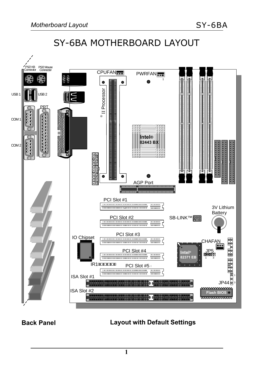# SY-6BA MOTHERBOARD LAYOUT



#### **Back Panel Layout with Default Settings**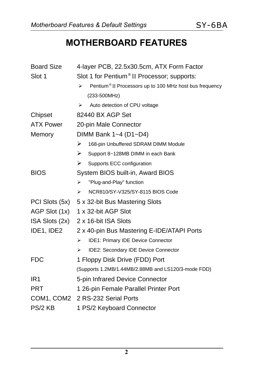## **MOTHERBOARD FEATURES**

| <b>Board Size</b> | 4-layer PCB, 22.5x30.5cm, ATX Form Factor                                |  |  |  |  |
|-------------------|--------------------------------------------------------------------------|--|--|--|--|
| Slot 1            | Slot 1 for Pentium <sup>®</sup> II Processor; supports:                  |  |  |  |  |
|                   | Pentium <sup>®</sup> II Processors up to 100 MHz host bus frequency<br>↘ |  |  |  |  |
|                   | (233-500MHz)                                                             |  |  |  |  |
|                   | Auto detection of CPU voltage<br>⋗                                       |  |  |  |  |
| Chipset           | 82440 BX AGP Set                                                         |  |  |  |  |
| <b>ATX Power</b>  | 20-pin Male Connector                                                    |  |  |  |  |
| Memory            | DIMM Bank 1~4 (D1~D4)                                                    |  |  |  |  |
|                   | ➤<br>168-pin Unbuffered SDRAM DIMM Module                                |  |  |  |  |
|                   | ≻<br>Support 8~128MB DIMM in each Bank                                   |  |  |  |  |
|                   | ≻<br>Supports ECC configuration                                          |  |  |  |  |
| <b>BIOS</b>       | System BIOS built-in, Award BIOS                                         |  |  |  |  |
|                   | "Plug-and-Play" function<br>➤                                            |  |  |  |  |
|                   | NCR810/SY-V325/SY-8115 BIOS Code<br>⋗                                    |  |  |  |  |
| PCI Slots (5x)    | 5 x 32-bit Bus Mastering Slots                                           |  |  |  |  |
| AGP Slot (1x)     | 1 x 32-bit AGP Slot                                                      |  |  |  |  |
| ISA Slots (2x)    | 2 x 16-bit ISA Slots                                                     |  |  |  |  |
| IDE1, IDE2        | 2 x 40-pin Bus Mastering E-IDE/ATAPI Ports                               |  |  |  |  |
|                   | IDE1: Primary IDE Device Connector<br>➤                                  |  |  |  |  |
|                   | IDE2: Secondary IDE Device Connector<br>≻                                |  |  |  |  |
| <b>FDC</b>        | 1 Floppy Disk Drive (FDD) Port                                           |  |  |  |  |
|                   | (Supports 1.2MB/1.44MB/2.88MB and LS120/3-mode FDD)                      |  |  |  |  |
| IR <sub>1</sub>   | 5-pin Infrared Device Connector                                          |  |  |  |  |
| <b>PRT</b>        | 1 26-pin Female Parallel Printer Port                                    |  |  |  |  |
| COM1, COM2        | 2 RS-232 Serial Ports                                                    |  |  |  |  |
| PS/2 KB           | 1 PS/2 Keyboard Connector                                                |  |  |  |  |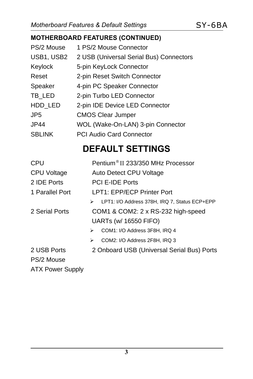## **MOTHERBOARD FEATURES (CONTINUED)**

| PS/2 Mouse    | 1 PS/2 Mouse Connector                  |
|---------------|-----------------------------------------|
| USB1, USB2    | 2 USB (Universal Serial Bus) Connectors |
| Keylock       | 5-pin KeyLock Connector                 |
| Reset         | 2-pin Reset Switch Connector            |
| Speaker       | 4-pin PC Speaker Connector              |
| TB LED        | 2-pin Turbo LED Connector               |
| HDD LED       | 2-pin IDE Device LED Connector          |
| JP5           | <b>CMOS Clear Jumper</b>                |
| JP44          | WOL (Wake-On-LAN) 3-pin Connector       |
| <b>SBLINK</b> | <b>PCI Audio Card Connector</b>         |

# **DEFAULT SETTINGS**

| <b>CPU</b>              | Pentium <sup>®</sup> II 233/350 MHz Processor      |  |  |
|-------------------------|----------------------------------------------------|--|--|
| <b>CPU Voltage</b>      | Auto Detect CPU Voltage                            |  |  |
| 2 IDE Ports             | <b>PCI E-IDE Ports</b>                             |  |  |
| 1 Parallel Port         | LPT1: EPP/ECP Printer Port                         |  |  |
|                         | LPT1: I/O Address 378H, IRQ 7, Status ECP+EPP<br>⋗ |  |  |
| 2 Serial Ports          | COM1 & COM2: 2 x RS-232 high-speed                 |  |  |
|                         | UARTs (w/ 16550 FIFO)                              |  |  |
|                         | COM1: I/O Address 3F8H, IRQ 4<br>⋗                 |  |  |
|                         | COM2: I/O Address 2F8H, IRQ 3<br>⋗                 |  |  |
| 2 USB Ports             | 2 Onboard USB (Universal Serial Bus) Ports         |  |  |
| PS/2 Mouse              |                                                    |  |  |
| <b>ATX Power Supply</b> |                                                    |  |  |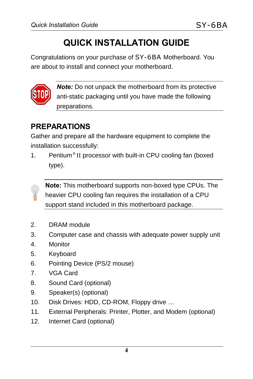# **QUICK INSTALLATION GUIDE**

Congratulations on your purchase of SY-6BA Motherboard. You are about to install and connect your motherboard.



*Note:* Do not unpack the motherboard from its protective anti-static packaging until you have made the following preparations.

## **PREPARATIONS**

Gather and prepare all the hardware equipment to complete the installation successfully:

1. Pentium® II processor with built-in CPU cooling fan (boxed type).

**Note:** This motherboard supports non-boxed type CPUs. The heavier CPU cooling fan requires the installation of a CPU support stand included in this motherboard package.

- 2. DRAM module
- 3. Computer case and chassis with adequate power supply unit
- 4. Monitor
- 5. Keyboard
- 6. Pointing Device (PS/2 mouse)
- 7. VGA Card
- 8. Sound Card (optional)
- 9. Speaker(s) (optional)
- 10. Disk Drives: HDD, CD-ROM, Floppy drive …
- 11. External Peripherals: Printer, Plotter, and Modem (optional)
- 12. Internet Card (optional)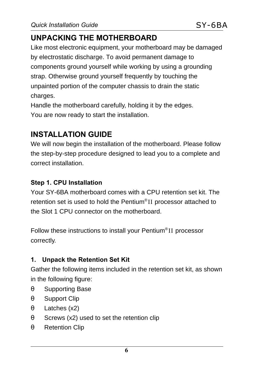## **UNPACKING THE MOTHERBOARD**

Like most electronic equipment, your motherboard may be damaged by electrostatic discharge. To avoid permanent damage to components ground yourself while working by using a grounding strap. Otherwise ground yourself frequently by touching the unpainted portion of the computer chassis to drain the static charges.

Handle the motherboard carefully, holding it by the edges. You are now ready to start the installation.

## **INSTALLATION GUIDE**

We will now begin the installation of the motherboard. Please follow the step-by-step procedure designed to lead you to a complete and correct installation.

#### **Step 1. CPU Installation**

Your SY-6BA motherboard comes with a CPU retention set kit. The retention set is used to hold the Pentium®II processor attached to the Slot 1 CPU connector on the motherboard.

Follow these instructions to install your Pentium® II processor correctly.

#### **1. Unpack the Retention Set Kit**

Gather the following items included in the retention set kit, as shown in the following figure:

- θ Supporting Base
- θ Support Clip
- θ Latches (x2)
- $\theta$  Screws (x2) used to set the retention clip
- θ Retention Clip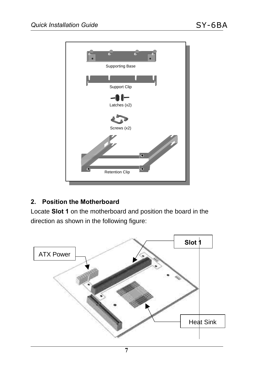

#### **2. Position the Motherboard**

Locate **Slot 1** on the motherboard and position the board in the direction as shown in the following figure:

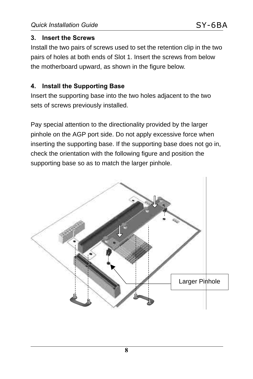#### **3. Insert the Screws**

Install the two pairs of screws used to set the retention clip in the two pairs of holes at both ends of Slot 1. Insert the screws from below the motherboard upward, as shown in the figure below.

#### **4. Install the Supporting Base**

Insert the supporting base into the two holes adjacent to the two sets of screws previously installed.

Pay special attention to the directionality provided by the larger pinhole on the AGP port side. Do not apply excessive force when inserting the supporting base. If the supporting base does not go in, check the orientation with the following figure and position the supporting base so as to match the larger pinhole.

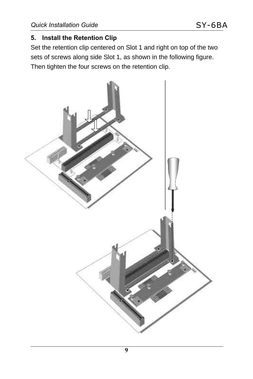#### **5. Install the Retention Clip**

Set the retention clip centered on Slot 1 and right on top of the two sets of screws along side Slot 1, as shown in the following figure. Then tighten the four screws on the retention clip.

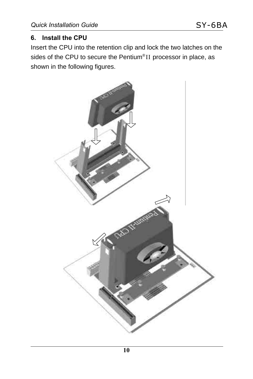#### **6. Install the CPU**

Insert the CPU into the retention clip and lock the two latches on the sides of the CPU to secure the Pentium®II processor in place, as shown in the following figures.

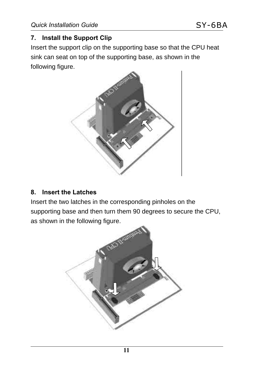#### **7. Install the Support Clip**

Insert the support clip on the supporting base so that the CPU heat sink can seat on top of the supporting base, as shown in the following figure.



#### **8. Insert the Latches**

Insert the two latches in the corresponding pinholes on the supporting base and then turn them 90 degrees to secure the CPU, as shown in the following figure.

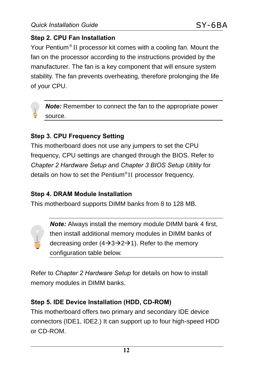#### **Step 2. CPU Fan Installation**

Your Pentium® II processor kit comes with a cooling fan. Mount the fan on the processor according to the instructions provided by the manufacturer. The fan is a key component that will ensure system stability. The fan prevents overheating, therefore prolonging the life of your CPU.



*Note:* Remember to connect the fan to the appropriate power source.

#### **Step 3. CPU Frequency Setting**

This motherboard does not use any jumpers to set the CPU frequency, CPU settings are changed through the BIOS. Refer to *Chapter 2 Hardware Setup* and *Chapter 3 BIOS Setup Utility* for details on how to set the Pentium® II processor frequency.

#### **Step 4. DRAM Module Installation**

This motherboard supports DIMM banks from 8 to 128 MB.

*Note:* Always install the memory module DIMM bank 4 first, then install additional memory modules in DIMM banks of decreasing order  $(4\rightarrow 3\rightarrow 2\rightarrow 1)$ . Refer to the memory configuration table below.

Refer to *Chapter 2 Hardware Setup* for details on how to install memory modules in DIMM banks.

#### **Step 5. IDE Device Installation (HDD, CD-ROM)**

This motherboard offers two primary and secondary IDE device connectors (IDE1, IDE2.) It can support up to four high-speed HDD or CD-ROM.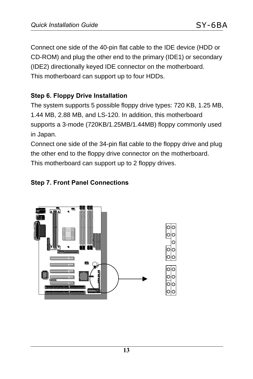Connect one side of the 40-pin flat cable to the IDE device (HDD or CD-ROM) and plug the other end to the primary (IDE1) or secondary (IDE2) directionally keyed IDE connector on the motherboard. This motherboard can support up to four HDDs.

#### **Step 6. Floppy Drive Installation**

The system supports 5 possible floppy drive types: 720 KB, 1.25 MB, 1.44 MB, 2.88 MB, and LS-120. In addition, this motherboard supports a 3-mode (720KB/1.25MB/1.44MB) floppy commonly used in Japan.

Connect one side of the 34-pin flat cable to the floppy drive and plug the other end to the floppy drive connector on the motherboard. This motherboard can support up to 2 floppy drives.

#### **Step 7. Front Panel Connections**

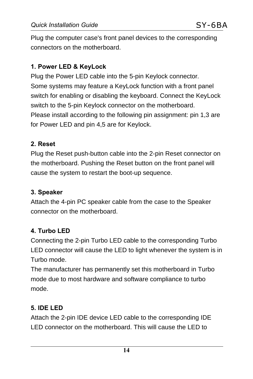Plug the computer case's front panel devices to the corresponding connectors on the motherboard.

#### **1. Power LED & KeyLock**

Plug the Power LED cable into the 5-pin Keylock connector. Some systems may feature a KeyLock function with a front panel switch for enabling or disabling the keyboard. Connect the KeyLock switch to the 5-pin Keylock connector on the motherboard. Please install according to the following pin assignment: pin 1,3 are for Power LED and pin 4,5 are for Keylock.

#### **2. Reset**

Plug the Reset push-button cable into the 2-pin Reset connector on the motherboard. Pushing the Reset button on the front panel will cause the system to restart the boot-up sequence.

#### **3. Speaker**

Attach the 4-pin PC speaker cable from the case to the Speaker connector on the motherboard.

#### **4. Turbo LED**

Connecting the 2-pin Turbo LED cable to the corresponding Turbo LED connector will cause the LED to light whenever the system is in Turbo mode.

The manufacturer has permanently set this motherboard in Turbo mode due to most hardware and software compliance to turbo mode.

#### **5. IDE LED**

Attach the 2-pin IDE device LED cable to the corresponding IDE LED connector on the motherboard. This will cause the LED to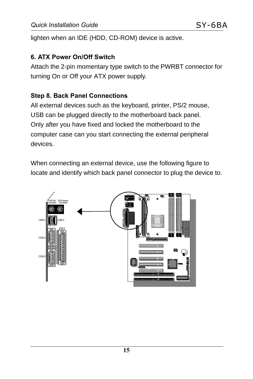lighten when an IDE (HDD, CD-ROM) device is active.

#### **6. ATX Power On/Off Switch**

Attach the 2-pin momentary type switch to the PWRBT connector for turning On or Off your ATX power supply.

#### **Step 8. Back Panel Connections**

All external devices such as the keyboard, printer, PS/2 mouse, USB can be plugged directly to the motherboard back panel. Only after you have fixed and locked the motherboard to the computer case can you start connecting the external peripheral devices.

When connecting an external device, use the following figure to locate and identify which back panel connector to plug the device to.

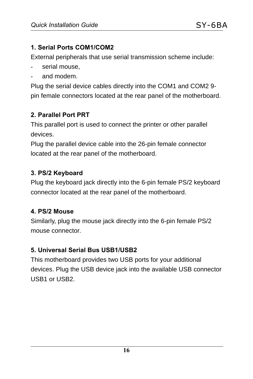#### **1. Serial Ports COM1/COM2**

External peripherals that use serial transmission scheme include:

- serial mouse,
- and modem.

Plug the serial device cables directly into the COM1 and COM2 9 pin female connectors located at the rear panel of the motherboard.

#### **2. Parallel Port PRT**

This parallel port is used to connect the printer or other parallel devices.

Plug the parallel device cable into the 26-pin female connector located at the rear panel of the motherboard.

#### **3. PS/2 Keyboard**

Plug the keyboard jack directly into the 6-pin female PS/2 keyboard connector located at the rear panel of the motherboard.

#### **4. PS/2 Mouse**

Similarly, plug the mouse jack directly into the 6-pin female PS/2 mouse connector.

#### **5. Universal Serial Bus USB1/USB2**

This motherboard provides two USB ports for your additional devices. Plug the USB device jack into the available USB connector USB1 or USB2.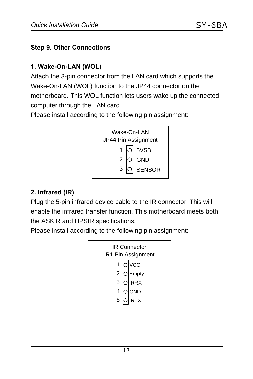#### **Step 9. Other Connections**

#### **1. Wake-On-LAN (WOL)**

Attach the 3-pin connector from the LAN card which supports the Wake-On-LAN (WOL) function to the JP44 connector on the motherboard. This WOL function lets users wake up the connected computer through the LAN card.

Please install according to the following pin assignment:



#### **2. Infrared (IR)**

Plug the 5-pin infrared device cable to the IR connector. This will enable the infrared transfer function. This motherboard meets both the ASKIR and HPSIR specifications.

Please install according to the following pin assignment:

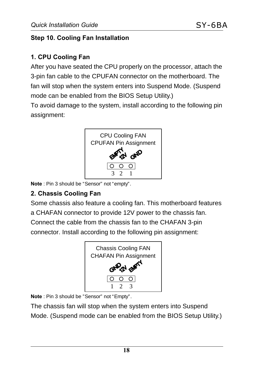#### **Step 10. Cooling Fan Installation**

#### **1. CPU Cooling Fan**

After you have seated the CPU properly on the processor, attach the 3-pin fan cable to the CPUFAN connector on the motherboard. The fan will stop when the system enters into Suspend Mode. (Suspend mode can be enabled from the BIOS Setup Utility.)

To avoid damage to the system, install according to the following pin assignment:



**Note** : Pin 3 should be "Sensor" not "empty".

#### **2. Chassis Cooling Fan**

Some chassis also feature a cooling fan. This motherboard features a CHAFAN connector to provide 12V power to the chassis fan. Connect the cable from the chassis fan to the CHAFAN 3-pin connector. Install according to the following pin assignment:



**Note** : Pin 3 should be "Sensor" not "Empty".

The chassis fan will stop when the system enters into Suspend Mode. (Suspend mode can be enabled from the BIOS Setup Utility.)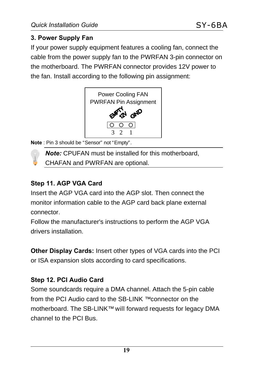#### **3. Power Supply Fan**

If your power supply equipment features a cooling fan, connect the cable from the power supply fan to the PWRFAN 3-pin connector on the motherboard. The PWRFAN connector provides 12V power to the fan. Install according to the following pin assignment:



**Note** : Pin 3 should be "Sensor" not "Empty".

*Note:* CPUFAN must be installed for this motherboard,

CHAFAN and PWRFAN are optional.

#### **Step 11. AGP VGA Card**

 $\Omega$ 

Insert the AGP VGA card into the AGP slot. Then connect the monitor information cable to the AGP card back plane external connector.

Follow the manufacturer's instructions to perform the AGP VGA drivers installation.

**Other Display Cards:** Insert other types of VGA cards into the PCI or ISA expansion slots according to card specifications.

#### **Step 12. PCI Audio Card**

Some soundcards require a DMA channel. Attach the 5-pin cable from the PCI Audio card to the SB-LINK ™ connector on the motherboard. The SB-LINK™ will forward requests for legacy DMA channel to the PCI Bus.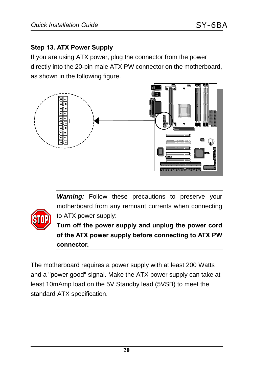#### **Step 13. ATX Power Supply**

If you are using ATX power, plug the connector from the power directly into the 20-pin male ATX PW connector on the motherboard, as shown in the following figure.



*Warning:* Follow these precautions to preserve your motherboard from any remnant currents when connecting to ATX power supply:



**Turn off the power supply and unplug the power cord of the ATX power supply before connecting to ATX PW connector.**

The motherboard requires a power supply with at least 200 Watts and a "power good" signal. Make the ATX power supply can take at least 10mAmp load on the 5V Standby lead (5VSB) to meet the standard ATX specification.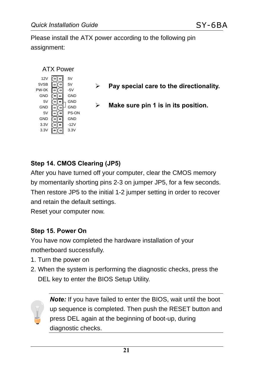Please install the ATX power according to the following pin assignment:



#### **Step 14. CMOS Clearing (JP5)**

After you have turned off your computer, clear the CMOS memory by momentarily shorting pins 2-3 on jumper JP5, for a few seconds. Then restore JP5 to the initial 1-2 jumper setting in order to recover and retain the default settings.

Reset your computer now.

#### **Step 15. Power On**

You have now completed the hardware installation of your motherboard successfully.

- 1. Turn the power on
- 2. When the system is performing the diagnostic checks, press the DEL key to enter the BIOS Setup Utility.

*Note:* If you have failed to enter the BIOS, wait until the boot up sequence is completed. Then push the RESET button and press DEL again at the beginning of boot-up, during diagnostic checks.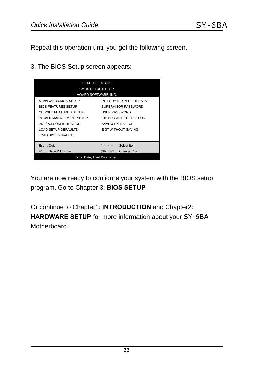Repeat this operation until you get the following screen.

3. The BIOS Setup screen appears:



You are now ready to configure your system with the BIOS setup program. Go to Chapter 3: **BIOS SETUP**

Or continue to Chapter1: **INTRODUCTION** and Chapter2: **HARDWARE SETUP** for more information about your SY-6BA Motherboard.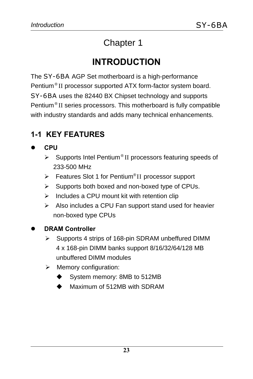# Chapter 1

# **INTRODUCTION**

The SY-6BA AGP Set motherboard is a high-performance Pentium® II processor supported ATX form-factor system board. SY-6BA uses the 82440 BX Chipset technology and supports Pentium® II series processors. This motherboard is fully compatible with industry standards and adds many technical enhancements.

## **1-1 KEY FEATURES**

#### l **CPU**

- $\triangleright$  Supports Intel Pentium® II processors featuring speeds of 233-500 MHz
- > Features Slot 1 for Pentium®II processor support
- $\triangleright$  Supports both boxed and non-boxed type of CPUs.
- $\triangleright$  Includes a CPU mount kit with retention clip
- $\triangleright$  Also includes a CPU Fan support stand used for heavier non-boxed type CPUs

#### l **DRAM Controller**

- ▶ Supports 4 strips of 168-pin SDRAM unbeffured DIMM 4 x 168-pin DIMM banks support 8/16/32/64/128 MB unbuffered DIMM modules
- $\triangleright$  Memory configuration:
	- System memory: 8MB to 512MB
	- Maximum of 512MB with SDRAM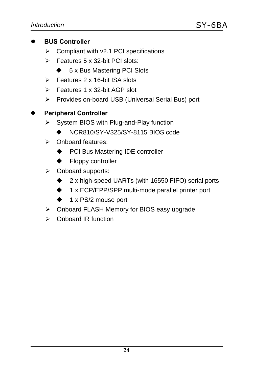#### l **BUS Controller**

- $\triangleright$  Compliant with v2.1 PCI specifications
- $\triangleright$  Features 5 x 32-bit PCI slots:
	- $\triangle$  5 x Bus Mastering PCI Slots
- $\triangleright$  Features 2 x 16-bit ISA slots
- $\triangleright$  Features 1 x 32-bit AGP slot
- ÿ Provides on-board USB (Universal Serial Bus) port

#### **Peripheral Controller**

- $\triangleright$  System BIOS with Plug-and-Play function
	- u NCR810/SY-V325/SY-8115 BIOS code
- ÿ Onboard features:
	- ♦ PCI Bus Mastering IDE controller
	- $\blacklozenge$  Floppy controller
- ÿ Onboard supports:
	- $\triangle$  2 x high-speed UARTs (with 16550 FIFO) serial ports
	- ◆ 1 x ECP/EPP/SPP multi-mode parallel printer port
	- $\triangleq$  1 x PS/2 mouse port
- $\triangleright$  Onboard FLASH Memory for BIOS easy upgrade
- $\triangleright$  Onboard IR function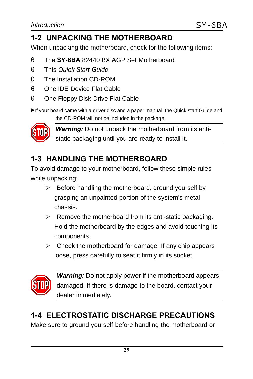## **1-2 UNPACKING THE MOTHERBOARD**

When unpacking the motherboard, check for the following items:

- θ The **SY-6BA** 82440 BX AGP Set Motherboard
- θ This *Quick Start Guide*
- θ The Installation CD-ROM
- θ One IDE Device Flat Cable
- θ One Floppy Disk Drive Flat Cable

 $\blacktriangleright$  If your board came with a driver disc and a paper manual, the Quick start Guide and

the CD-ROM will not be included in the package.



*Warning:* Do not unpack the motherboard from its antistatic packaging until you are ready to install it.

## **1-3 HANDLING THE MOTHERBOARD**

To avoid damage to your motherboard, follow these simple rules while unpacking:

- $\triangleright$  Before handling the motherboard, ground yourself by grasping an unpainted portion of the system's metal chassis.
- $\triangleright$  Remove the motherboard from its anti-static packaging. Hold the motherboard by the edges and avoid touching its components.
- $\triangleright$  Check the motherboard for damage. If any chip appears loose, press carefully to seat it firmly in its socket.



*Warning:* Do not apply power if the motherboard appears damaged. If there is damage to the board, contact your dealer immediately.

## **1-4 ELECTROSTATIC DISCHARGE PRECAUTIONS**

Make sure to ground yourself before handling the motherboard or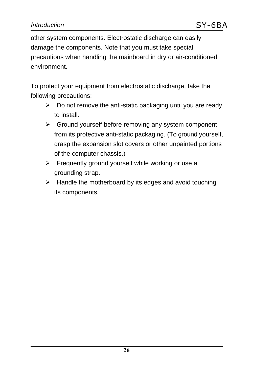other system components. Electrostatic discharge can easily damage the components. Note that you must take special precautions when handling the mainboard in dry or air-conditioned environment.

To protect your equipment from electrostatic discharge, take the following precautions:

- $\triangleright$  Do not remove the anti-static packaging until you are ready to install.
- $\triangleright$  Ground yourself before removing any system component from its protective anti-static packaging. (To ground yourself, grasp the expansion slot covers or other unpainted portions of the computer chassis.)
- $\triangleright$  Frequently ground yourself while working or use a grounding strap.
- $\triangleright$  Handle the motherboard by its edges and avoid touching its components.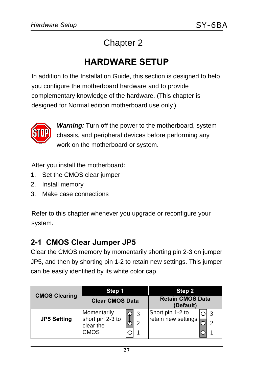# Chapter 2

# **HARDWARE SETUP**

In addition to the Installation Guide, this section is designed to help you configure the motherboard hardware and to provide complementary knowledge of the hardware. (This chapter is designed for Normal edition motherboard use only.)



*Warning:* Turn off the power to the motherboard, system chassis, and peripheral devices before performing any work on the motherboard or system.

After you install the motherboard:

- 1. Set the CMOS clear jumper
- 2. Install memory
- 3. Make case connections

Refer to this chapter whenever you upgrade or reconfigure your system.

#### **2-1 CMOS Clear Jumper JP5**

Clear the CMOS memory by momentarily shorting pin 2-3 on jumper JP5, and then by shorting pin 1-2 to retain new settings. This jumper can be easily identified by its white color cap.

|                      | Step 1                                               |        | Step 2                                       |
|----------------------|------------------------------------------------------|--------|----------------------------------------------|
| <b>CMOS Clearing</b> | <b>Clear CMOS Data</b>                               |        | <b>Retain CMOS Data</b><br>(Default)         |
| <b>JP5 Setting</b>   | Momentarily<br>short pin 2-3 to<br>clear the<br>CMOS | ω<br>ာ | Short pin 1-2 to<br>retain new settings<br>ി |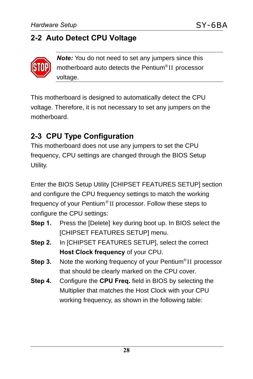## **2-2 Auto Detect CPU Voltage**



*Note:* You do not need to set any jumpers since this motherboard auto detects the Pentium® II processor voltage.

This motherboard is designed to automatically detect the CPU voltage. Therefore, it is not necessary to set any jumpers on the motherboard.

## **2-3 CPU Type Configuration**

This motherboard does not use any jumpers to set the CPU frequency, CPU settings are changed through the BIOS Setup Utility.

Enter the BIOS Setup Utility [CHIPSET FEATURES SETUP] section and configure the CPU frequency settings to match the working frequency of your Pentium® II processor. Follow these steps to configure the CPU settings:

- **Step 1.** Press the [Delete] key during boot up. In BIOS select the [CHIPSET FEATURES SETUP] menu.
- **Step 2.** In [CHIPSET FEATURES SETUP], select the correct **Host Clock frequency** of your CPU.
- **Step 3.** Note the working frequency of your Pentium® II processor that should be clearly marked on the CPU cover.
- **Step 4.** Configure the **CPU Freq.** field in BIOS by selecting the Multiplier that matches the Host Clock with your CPU working frequency, as shown in the following table: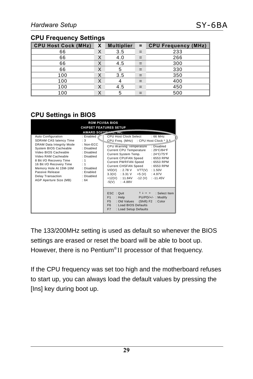#### **CPU Frequency Settings**

| <b>CPU Host Cock (MHz)</b> | X | <b>Multiplier</b> | $=$ | <b>CPU Frequency (MHz)</b> |
|----------------------------|---|-------------------|-----|----------------------------|
| 66                         | Χ | 3.5               | $=$ | 233                        |
| 66                         | Χ | 4.0               | $=$ | 266                        |
| 66                         |   | 4.5               | $=$ | 300                        |
| 66                         | Χ |                   | $=$ | 330                        |
| 100                        | ⋏ | 3.5               | $=$ | 350                        |
| 100                        | Χ |                   | $=$ | 400                        |
| 100                        | X | 4.5               | $=$ | 450                        |
| 100                        |   |                   | =   | 500                        |

#### **CPU Settings in BIOS**

|                                                                                                                                                                                                                                                                                                     |                                                                                                                                         | <b>ROM PCI/ISA BIOS</b><br><b>CHIPSET FEATURES SETUP</b>                                                                                                                                                                                                                                                                                                                                                                                                                                                                                                                                                                                                                                                   |
|-----------------------------------------------------------------------------------------------------------------------------------------------------------------------------------------------------------------------------------------------------------------------------------------------------|-----------------------------------------------------------------------------------------------------------------------------------------|------------------------------------------------------------------------------------------------------------------------------------------------------------------------------------------------------------------------------------------------------------------------------------------------------------------------------------------------------------------------------------------------------------------------------------------------------------------------------------------------------------------------------------------------------------------------------------------------------------------------------------------------------------------------------------------------------------|
| Auto Configuration<br>SDRAM CAS latency Time<br>DRAM Data Integrity Mode<br>System BIOS Cacheable<br>Video BIOS Cacheable<br>Video RAM Cacheable<br>8 Bit I/O Recovery Time<br>16 Bit I/O Recovery Time<br>Memory Hole At 15M-16M<br>Passive Release<br>Delay Transaction<br>AGP Aperture Size (MB) | : Enabled<br>:3<br>: $Non-FCC$<br>: Disabled<br>: Disabled<br>: Disabled<br>: 1<br>: 1<br>: Disabled<br>: Enabled<br>: Disabled<br>: 64 | <b>AWARD SOFTWARE, INC.</b><br>CPU Host Clock Select<br>$:66$ MHz<br>CPU Freq. (MHz) : CPU Host Clock * 3.5<br>CPU Warning Temperature : Disabled<br>Current CPU Temperature : 29°C/84°F<br>Current System Temp. : 24°C/75°F<br>Current CPUFAN Speed: : 6553 RPM<br>Current PWRFAN Speed: : 6553 RPM<br>Current CHSFAN Speed: : 6553 RPM<br>VID(V) : 2.78 V VTT(V) : 1.50V<br>$3.3(V)$ : 3.31 V +5 (V) : 4.97V<br>+12(V) : 11.84V<br>$-12$ (V) : $-11.45V$<br>$-5(V)$ : $-4.88V$<br>ESC : Quit $\uparrow \downarrow \rightarrow \leftarrow$ : Select Item<br>F1<br>: Help PU/PD/+/-: Modify<br>F <sub>5</sub><br>: Old Values (Shift) F2 : Color<br>F6 : Load BIOS Defaults<br>F7<br>: Load Setup Defaults |

The 133/200MHz setting is used as default so whenever the BIOS settings are erased or reset the board will be able to boot up. However, there is no Pentium®II processor of that frequency.

If the CPU frequency was set too high and the motherboard refuses to start up, you can always load the default values by pressing the [Ins] key during boot up.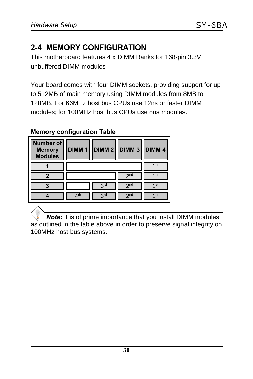## **2-4 MEMORY CONFIGURATION**

This motherboard features 4 x DIMM Banks for 168-pin 3.3V unbuffered DIMM modules

Your board comes with four DIMM sockets, providing support for up to 512MB of main memory using DIMM modules from 8MB to 128MB. For 66MHz host bus CPUs use 12ns or faster DIMM modules; for 100MHz host bus CPUs use 8ns modules.

#### **Memory configuration Table**

| Number of<br><b>Memory</b><br><b>Modules</b> | <b>DIMM1</b> |            | DIMM 2   DIMM 3   DIMM 4 |                   |
|----------------------------------------------|--------------|------------|--------------------------|-------------------|
|                                              |              |            |                          | 4 St              |
|                                              |              |            | 2 <sub>nd</sub>          | $\mathbf 1$ st    |
|                                              |              | <b>PLC</b> | 2 <sub>nd</sub>          | 1 st              |
|                                              | ∕1th         | 3rd        | 2 <sub>nd</sub>          | $\overline{1}$ st |

*Note:* It is of prime importance that you install DIMM modules as outlined in the table above in order to preserve signal integrity on 100MHz host bus systems.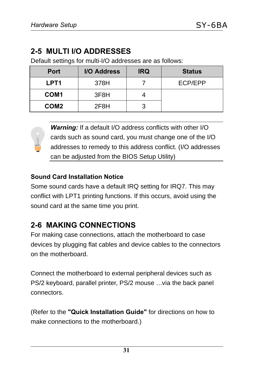## **2-5 MULTI I/O ADDRESSES**

Default settings for multi-I/O addresses are as follows:

| <b>Port</b>      | I/O Address |  | <b>Status</b> |
|------------------|-------------|--|---------------|
| LPT <sub>1</sub> | 378H        |  | ECP/EPP       |
| COM <sub>1</sub> | 3F8H        |  |               |
| COM <sub>2</sub> | 2F8H        |  |               |

**Warning:** If a default I/O address conflicts with other I/O cards such as sound card, you must change one of the I/O addresses to remedy to this address conflict. (I/O addresses can be adjusted from the BIOS Setup Utility)

#### **Sound Card Installation Notice**

Some sound cards have a default IRQ setting for IRQ7. This may conflict with LPT1 printing functions. If this occurs, avoid using the sound card at the same time you print.

## **2-6 MAKING CONNECTIONS**

For making case connections, attach the motherboard to case devices by plugging flat cables and device cables to the connectors on the motherboard.

Connect the motherboard to external peripheral devices such as PS/2 keyboard, parallel printer, PS/2 mouse … via the back panel connectors.

(Refer to the **"Quick Installation Guide"** for directions on how to make connections to the motherboard.)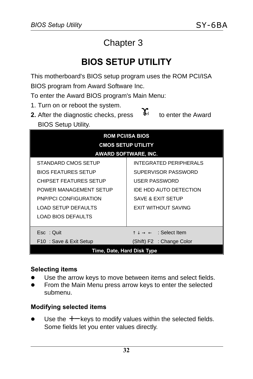# Chapter 3

# **BIOS SETUP UTILITY**

This motherboard's BIOS setup program uses the ROM PCI/ISA BIOS program from Award Software Inc.

To enter the Award BIOS program's Main Menu:

- 1. Turn on or reboot the system.
- **2.** After the diagnostic checks, press  $\mathbb{I}^{\text{del}}$  to enter the Award BIOS Setup Utility.  $\mathbf{Y}_{\text{el}}$

| <b>ROM PCI/ISA BIOS</b><br><b>CMOS SETUP UTILITY</b><br><b>AWARD SOFTWARE, INC.</b> |                                                            |  |  |  |
|-------------------------------------------------------------------------------------|------------------------------------------------------------|--|--|--|
| STANDARD CMOS SETUP                                                                 | <b>INTEGRATED PERIPHERALS</b>                              |  |  |  |
| <b>BIOS FEATURES SETUP</b>                                                          | SUPERVISOR PASSWORD                                        |  |  |  |
| <b>CHIPSET FEATURES SETUP</b>                                                       | <b>USER PASSWORD</b>                                       |  |  |  |
| POWER MANAGEMENT SETUP                                                              | IDE HDD AUTO DETECTION                                     |  |  |  |
| <b>PNP/PCI CONFIGURATION</b>                                                        | SAVE & EXIT SETUP                                          |  |  |  |
| <b>LOAD SETUP DEFAULTS</b>                                                          | <b>EXIT WITHOUT SAVING</b>                                 |  |  |  |
| <b>LOAD BIOS DEFAULTS</b>                                                           |                                                            |  |  |  |
| Esc: Ouit                                                                           | $\uparrow \downarrow \rightarrow \leftarrow$ : Select Item |  |  |  |
| F10: Save & Exit Setup                                                              | (Shift) F2 : Change Color                                  |  |  |  |
| Time, Date, Hard Disk Type                                                          |                                                            |  |  |  |

#### **Selecting items**

- Use the arrow keys to move between items and select fields.
- From the Main Menu press arrow keys to enter the selected submenu.

#### **Modifying selected items**

Use the +− keys to modify values within the selected fields. Some fields let you enter values directly.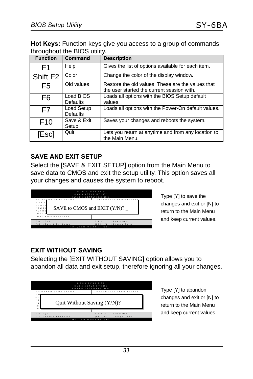**Hot Keys:** Function keys give you access to a group of commands throughout the BIOS utility.

| <b>Function</b>      | Command                       | <b>Description</b>                                                                              |
|----------------------|-------------------------------|-------------------------------------------------------------------------------------------------|
| F1                   | Help                          | Gives the list of options available for each item.                                              |
| Shift F <sub>2</sub> | Color                         | Change the color of the display window.                                                         |
| F <sub>5</sub>       | Old values                    | Restore the old values. These are the values that<br>the user started the current session with. |
| F <sub>6</sub>       | Load BIOS<br><b>Defaults</b>  | Loads all options with the BIOS Setup default<br>values.                                        |
| F7                   | Load Setup<br><b>Defaults</b> | Loads all options with the Power-On default values.                                             |
| F <sub>10</sub>      | Save & Exit<br>Setup          | Saves your changes and reboots the system.                                                      |
| [Esc]                | Quit                          | Lets you return at anytime and from any location to<br>the Main Menu.                           |

#### **SAVE AND EXIT SETUP**

Select the [SAVE & EXIT SETUP] option from the Main Menu to save data to CMOS and exit the setup utility. This option saves all your changes and causes the system to reboot.



Type [Y] to save the changes and exit or [N] to return to the Main Menu and keep current values.

#### **EXIT WITHOUT SAVING**

Selecting the [EXIT WITHOUT SAVING] option allows you to abandon all data and exit setup, therefore ignoring all your changes.

| ROM PC I/IS A B IOS<br>CMOS SETUP UTILITY<br>AWARD SOFTWARE. INC.<br>STANDARD CMOS SETUP | INTEGRATED PERIPHERALS   |  |  |
|------------------------------------------------------------------------------------------|--------------------------|--|--|
| <b>B</b> 10<br>C H<br>P O<br>Quit Without Saving $(Y/N)$ ?<br>P N<br>LO<br>$\sqrt{2}$    |                          |  |  |
|                                                                                          |                          |  |  |
| Esc<br>$: Q$ uit                                                                         | : Select Item            |  |  |
| : Save & Exit Setup<br>F 10                                                              | Shift) F2 : Change Color |  |  |
| Time. Date. Hard Disk Type                                                               |                          |  |  |

Type [Y] to abandon changes and exit or [N] to return to the Main Menu and keep current values.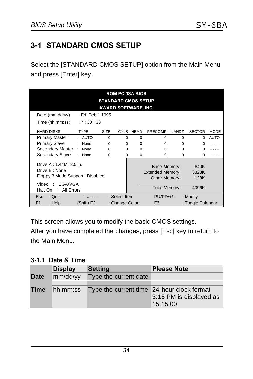## **3-1 STANDARD CMOS SETUP**

Select the [STANDARD CMOS SETUP] option from the Main Menu and press [Enter] key.

| <b>ROM PCI/ISA BIOS</b><br><b>STANDARD CMOS SETUP</b>                       |                                              |                             |                |          |                                                          |          |                       |             |
|-----------------------------------------------------------------------------|----------------------------------------------|-----------------------------|----------------|----------|----------------------------------------------------------|----------|-----------------------|-------------|
|                                                                             |                                              | <b>AWARD SOFTWARE, INC.</b> |                |          |                                                          |          |                       |             |
| Date (mm:dd:yy)                                                             | : Fri, Feb 1 1995                            |                             |                |          |                                                          |          |                       |             |
| Time (hh:mm:ss)                                                             | :7:30:33                                     |                             |                |          |                                                          |          |                       |             |
| <b>HARD DISKS</b>                                                           | <b>TYPE</b>                                  | <b>SIZE</b>                 | CYLS           | HEAD     | <b>PRECOMP</b>                                           | LANDZ    | <b>SECTOR</b>         | <b>MODE</b> |
| <b>Primary Master</b>                                                       | : AUTO                                       | $\Omega$                    | $\Omega$       | $\Omega$ | $\Omega$                                                 | $\Omega$ | 0                     | <b>AUTO</b> |
| <b>Primary Slave</b>                                                        | : None                                       | $\Omega$                    | $\Omega$       | $\Omega$ | $\Omega$                                                 | $\Omega$ |                       |             |
| Secondary Master                                                            | None<br>$\sim$                               | $\Omega$                    | $\Omega$       | $\Omega$ | $\Omega$                                                 | $\Omega$ |                       |             |
| Secondary Slave                                                             | None                                         | $\Omega$                    | 0              | 0        | $\Omega$                                                 | $\Omega$ |                       |             |
| Drive A: 1.44M, 3.5 in.<br>Drive B: None<br>Floppy 3 Mode Support: Disabled |                                              |                             |                |          | Base Memory:<br><b>Extended Memory:</b><br>Other Memory: |          | 640K<br>3328K<br>128K |             |
| EGA/VGA<br>Video:<br>All Errors<br>Halt On :                                |                                              |                             |                |          | <b>Total Memory:</b>                                     |          | 4096K                 |             |
| <b>Esc</b><br>: Quit                                                        | $\uparrow \downarrow \rightarrow \leftarrow$ |                             | : Select Item  |          | $PU/PD/+/-$                                              |          | : Modify              |             |
| F <sub>1</sub><br>: Help                                                    | (Shift) F2                                   |                             | : Change Color |          | F <sub>3</sub>                                           |          | : Toggle Calendar     |             |

This screen allows you to modify the basic CMOS settings.

After you have completed the changes, press [Esc] key to return to the Main Menu.

**3-1.1 Date & Time**

|             | <b>Display</b> | <b>Setting</b>                             | <b>Please Note</b>                  |
|-------------|----------------|--------------------------------------------|-------------------------------------|
| <b>Date</b> | mm/dd/yy       | Type the current date                      |                                     |
| Time        | hh:mm:ss       | Type the current time 24-hour clock format | 3:15 PM is displayed as<br>15:15:00 |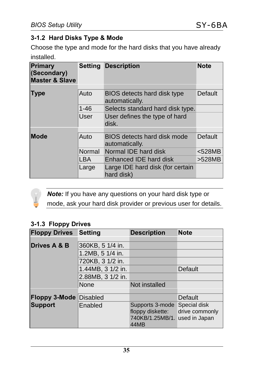#### **3-1.2 Hard Disks Type & Mode**

Choose the type and mode for the hard disks that you have already installed.

| Primary<br>(Secondary)<br><b>Master &amp; Slave</b> | Setting  | <b>Description</b>                             | <b>Note</b>    |
|-----------------------------------------------------|----------|------------------------------------------------|----------------|
| <b>Type</b>                                         | Auto     | BIOS detects hard disk type<br>automatically.  | Default        |
|                                                     | $1 - 46$ | Selects standard hard disk type.               |                |
|                                                     | User     | User defines the type of hard<br>disk.         |                |
| Mode                                                | Auto     | BIOS detects hard disk mode<br>automatically.  | <b>Default</b> |
|                                                     | Normal   | Normal IDE hard disk                           | $<$ 528MB      |
|                                                     | LBA      | Enhanced IDE hard disk                         | >528MB         |
|                                                     | Large    | Large IDE hard disk (for certain<br>hard disk) |                |

*Note:* If you have any questions on your hard disk type or mode, ask your hard disk provider or previous user for details.

#### **3-1.3 Floppy Drives**

| <b>Floppy Drives</b>    | <b>Setting</b>    | <b>Description</b>                                                           | <b>Note</b>                    |
|-------------------------|-------------------|------------------------------------------------------------------------------|--------------------------------|
|                         |                   |                                                                              |                                |
| <b>Drives A &amp; B</b> | 360KB, 5 1/4 in.  |                                                                              |                                |
|                         | 1.2MB, 5 1/4 in.  |                                                                              |                                |
|                         | 720KB, 3 1/2 in.  |                                                                              |                                |
|                         | 1.44MB, 3 1/2 in. |                                                                              | <b>Default</b>                 |
|                         | 2.88MB, 3 1/2 in. |                                                                              |                                |
|                         | None              | Not installed                                                                |                                |
|                         |                   |                                                                              |                                |
| <b>Floppy 3-Mode</b>    | <b>Disabled</b>   |                                                                              | Default                        |
| <b>Support</b>          | Enabled           | Supports 3-mode<br>floppy diskette:<br>740KB/1.25MB/1. used in Japan<br>44MB | Special disk<br>drive commonly |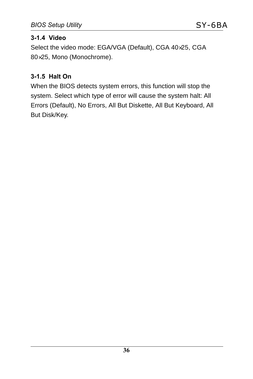#### **3-1.4 Video**

Select the video mode: EGA/VGA (Default), CGA 40×25, CGA 80×25, Mono (Monochrome).

#### **3-1.5 Halt On**

When the BIOS detects system errors, this function will stop the system. Select which type of error will cause the system halt: All Errors (Default), No Errors, All But Diskette, All But Keyboard, All But Disk/Key.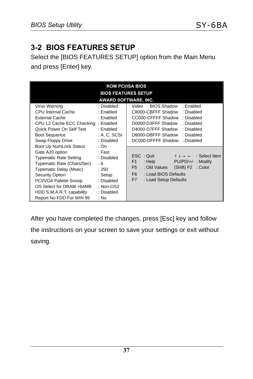## **3-2 BIOS FEATURES SETUP**

Select the [BIOS FEATURES SETUP] option from the Main Menu and press [Enter] key.

| <b>ROM PCI/ISA BIOS</b>                                                                                                                                                                                                                                 |                                                                                                      |                                                                                                                                                                                                                                                                  |  |  |  |
|---------------------------------------------------------------------------------------------------------------------------------------------------------------------------------------------------------------------------------------------------------|------------------------------------------------------------------------------------------------------|------------------------------------------------------------------------------------------------------------------------------------------------------------------------------------------------------------------------------------------------------------------|--|--|--|
|                                                                                                                                                                                                                                                         |                                                                                                      | <b>BIOS FEATURES SETUP</b><br>AWARD SOFTWARE, INC.                                                                                                                                                                                                               |  |  |  |
| Virus Warning<br>CPU Internal Cache<br><b>External Cache</b><br>CPU L2 Cache ECC Checking<br>Quick Power On Self Test<br><b>Boot Sequence</b><br>Swap Floppy Drive<br>Boot Up NumLock Status                                                            | : Disabled<br>: Enabled<br>: Enabled<br>: Enabled<br>: Enabled<br>: A, C, SCSI<br>: Disabled<br>: On | <b>BIOS Shadow</b><br>: Enabled<br>Video<br>C8000-CBFFF Shadow<br>: Disabled<br>CC000-CFFFF Shadow<br>: Disabled<br>D0000-D3FFF Shadow<br>: Disabled<br>D4000-D7FFF Shadow<br>: Disabled<br>D8000-DBFFF Shadow<br>: Disabled<br>DC000-DFFFF Shadow<br>: Disabled |  |  |  |
| Gate A20 option<br><b>Typematic Rate Setting</b><br>Typematic Rate (Chars/Sec)<br><b>Typematic Delay (Msec)</b><br><b>Security Option</b><br>PCI/VGA Palette Snoop<br>OS Select for DRAM >64MB<br>HDD S.M.A.R.T. capability<br>Report No FDD For WIN 95 | : Fast<br>: Disabled<br>: 6<br>: 250<br>: Setup<br>: Disabled<br>: $Non-OS2$<br>: Disabled<br>: No   | ESC: Quit<br>$\uparrow \downarrow \rightarrow \leftarrow$ : Select Item<br>: Help<br>F <sub>1</sub><br>PU/PD/+/-: Modify<br>F <sub>5</sub><br>: Old Values<br>(Shift) F2 : Color<br>F <sub>6</sub><br>: Load BIOS Defaults<br>F7<br>: Load Setup Defaults        |  |  |  |

After you have completed the changes, press [Esc] key and follow the instructions on your screen to save your settings or exit without saving.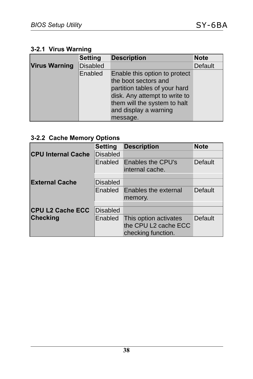#### **3-2.1 Virus Warning**

|                      | <b>Setting</b>  | <b>Description</b>            | <b>Note</b> |
|----------------------|-----------------|-------------------------------|-------------|
| <b>Virus Warning</b> | <b>Disabled</b> |                               | Default     |
|                      | Enabled         | Enable this option to protect |             |
|                      |                 | the boot sectors and          |             |
|                      |                 | partition tables of your hard |             |
|                      |                 | disk. Any attempt to write to |             |
|                      |                 | them will the system to halt  |             |
|                      |                 | and display a warning         |             |
|                      |                 | message.                      |             |

#### **3-2.2 Cache Memory Options**

|                           | <b>Setting</b>  | <b>Description</b>                                                  | <b>Note</b> |
|---------------------------|-----------------|---------------------------------------------------------------------|-------------|
| <b>CPU Internal Cache</b> | <b>Disabled</b> |                                                                     |             |
|                           | Enabled         | Enables the CPU's<br>internal cache.                                | Default     |
|                           |                 |                                                                     |             |
| <b>External Cache</b>     | <b>Disabled</b> |                                                                     |             |
|                           | Enabled         | Enables the external<br>memory.                                     | Default     |
|                           |                 |                                                                     |             |
| <b>CPU L2 Cache ECC</b>   | <b>Disabled</b> |                                                                     |             |
| <b>Checking</b>           | Enabled         | This option activates<br>the CPU L2 cache ECC<br>checking function. | Default     |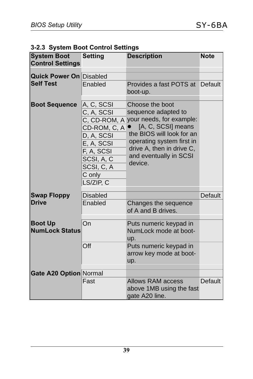|  |  |  |  | 3-2.3 System Boot Control Settings |
|--|--|--|--|------------------------------------|
|--|--|--|--|------------------------------------|

| <b>System Boot</b><br><b>Control Settings</b> | <b>Setting</b>                                                                                                                        | <b>Description</b>                                                                                                                                                                                                                | <b>Note</b>    |
|-----------------------------------------------|---------------------------------------------------------------------------------------------------------------------------------------|-----------------------------------------------------------------------------------------------------------------------------------------------------------------------------------------------------------------------------------|----------------|
| <b>Quick Power On Disabled</b>                |                                                                                                                                       |                                                                                                                                                                                                                                   |                |
| <b>Self Test</b>                              | Enabled                                                                                                                               | Provides a fast POTS at<br>boot-up.                                                                                                                                                                                               | <b>Default</b> |
| <b>Boot Sequence</b>                          | A, C, SCSI<br>C, A, SCSI<br>CD-ROM, C, A<br>D, A, SCSI<br>E, A, SCSI<br>F, A, SCSI<br>SCSI, A, C<br>SCSI, C, A<br>C only<br>LS/ZIP, C | Choose the boot<br>sequence adapted to<br>C, CD-ROM, A your needs, for example:<br>[A, C, SCSI] means<br>the BIOS will look for an<br>operating system first in<br>drive A, then in drive C,<br>and eventually in SCSI<br>device. |                |
| <b>Swap Floppy</b>                            | <b>Disabled</b>                                                                                                                       |                                                                                                                                                                                                                                   | Default        |
| <b>Drive</b>                                  | Enabled                                                                                                                               | Changes the sequence<br>of A and B drives.                                                                                                                                                                                        |                |
| <b>Boot Up</b><br><b>NumLock Status</b>       | On                                                                                                                                    | Puts numeric keypad in<br>NumLock mode at boot-<br>up.                                                                                                                                                                            |                |
|                                               | Off                                                                                                                                   | Puts numeric keypad in<br>arrow key mode at boot-<br>up.                                                                                                                                                                          |                |
| Gate A20 Option Normal                        |                                                                                                                                       |                                                                                                                                                                                                                                   |                |
|                                               | Fast                                                                                                                                  | <b>Allows RAM access</b><br>above 1MB using the fast<br>gate A20 line.                                                                                                                                                            | Default        |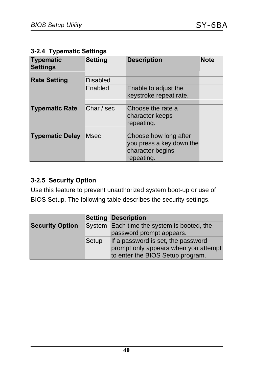|  | 3-2.4 Typematic Settings |  |
|--|--------------------------|--|
|--|--------------------------|--|

| <b>Typematic</b><br><b>Settings</b> | <b>Setting</b>  | <b>Description</b>                                                                  | <b>Note</b> |
|-------------------------------------|-----------------|-------------------------------------------------------------------------------------|-------------|
|                                     |                 |                                                                                     |             |
| <b>Rate Setting</b>                 | <b>Disabled</b> |                                                                                     |             |
|                                     | Enabled         | Enable to adjust the<br>keystroke repeat rate.                                      |             |
|                                     |                 |                                                                                     |             |
| <b>Typematic Rate</b>               | Char / sec      | Choose the rate a<br>character keeps<br>repeating.                                  |             |
| <b>Typematic Delay</b>              | <b>Msec</b>     | Choose how long after<br>you press a key down the<br>character begins<br>repeating. |             |

#### **3-2.5 Security Option**

Use this feature to prevent unauthorized system boot-up or use of BIOS Setup. The following table describes the security settings.

|                        |       | <b>Setting Description</b>                 |
|------------------------|-------|--------------------------------------------|
| <b>Security Option</b> |       | System Each time the system is booted, the |
|                        |       | password prompt appears.                   |
|                        | Setup | If a password is set, the password         |
|                        |       | prompt only appears when you attempt       |
|                        |       | to enter the BIOS Setup program.           |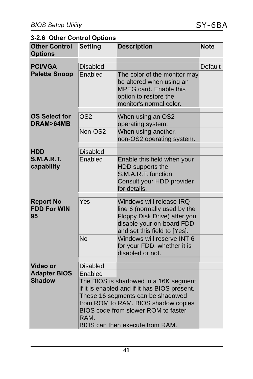## **3-2.6 Other Control Options**

| <b>Other Control</b><br><b>Options</b>       | <b>Setting</b>  | <b>Description</b>                                                                                                                                                                                                                          | <b>Note</b> |
|----------------------------------------------|-----------------|---------------------------------------------------------------------------------------------------------------------------------------------------------------------------------------------------------------------------------------------|-------------|
| <b>PCI/VGA</b>                               | <b>Disabled</b> |                                                                                                                                                                                                                                             | Default     |
| <b>Palette Snoop</b>                         | Enabled         | The color of the monitor may<br>be altered when using an<br>MPEG card. Enable this<br>option to restore the<br>monitor's normal color.                                                                                                      |             |
| <b>OS Select for</b><br>DRAM>64MB            | OS <sub>2</sub> | When using an OS2<br>operating system.                                                                                                                                                                                                      |             |
|                                              | Non-OS2         | When using another,<br>non-OS2 operating system.                                                                                                                                                                                            |             |
| <b>HDD</b>                                   | <b>Disabled</b> |                                                                                                                                                                                                                                             |             |
| <b>S.M.A.R.T.</b><br>capability              | Enabled         | Enable this field when your<br>HDD supports the<br>S.M.A.R.T. function.<br>Consult your HDD provider<br>for details.                                                                                                                        |             |
| <b>Report No</b><br><b>FDD For WIN</b><br>95 | Yes             | Windows will release IRQ<br>line 6 (normally used by the<br>Floppy Disk Drive) after you<br>disable your on-board FDD<br>and set this field to [Yes].                                                                                       |             |
|                                              | <b>No</b>       | Windows will reserve INT 6<br>for your FDD, whether it is<br>disabled or not.                                                                                                                                                               |             |
| <b>Video or</b>                              | <b>Disabled</b> |                                                                                                                                                                                                                                             |             |
| <b>Adapter BIOS</b><br><b>Shadow</b>         | Enabled<br>RAM. | The BIOS is shadowed in a 16K segment<br>if it is enabled and if it has BIOS present.<br>These 16 segments can be shadowed<br>from ROM to RAM. BIOS shadow copies<br>BIOS code from slower ROM to faster<br>BIOS can then execute from RAM. |             |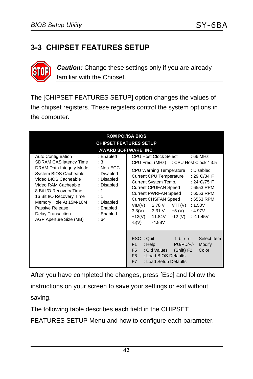## **3-3 CHIPSET FEATURES SETUP**



*Caution:* Change these settings only if you are already familiar with the Chipset.

The [CHIPSET FEATURES SETUP] option changes the values of the chipset registers. These registers control the system options in the computer.

|                                                                                                                                                                                                                                                                                                            | <b>ROM PCI/ISA BIOS</b>                                                                                                                |                                                                                                                                                                                                                                                                                                                                                                                                                                                                                                                |
|------------------------------------------------------------------------------------------------------------------------------------------------------------------------------------------------------------------------------------------------------------------------------------------------------------|----------------------------------------------------------------------------------------------------------------------------------------|----------------------------------------------------------------------------------------------------------------------------------------------------------------------------------------------------------------------------------------------------------------------------------------------------------------------------------------------------------------------------------------------------------------------------------------------------------------------------------------------------------------|
|                                                                                                                                                                                                                                                                                                            | <b>CHIPSET FEATURES SETUP</b>                                                                                                          | <b>AWARD SOFTWARE, INC.</b>                                                                                                                                                                                                                                                                                                                                                                                                                                                                                    |
| Auto Configuration<br><b>SDRAM CAS latency Time</b><br>DRAM Data Integrity Mode<br>System BIOS Cacheable<br>Video BIOS Cacheable<br>Video RAM Cacheable<br>8 Bit I/O Recovery Time<br>16 Bit I/O Recovery Time<br>Memory Hole At 15M-16M<br>Passive Release<br>Delay Transaction<br>AGP Aperture Size (MB) | : Enabled<br>:3<br>: $Non-ECC$<br>: Disabled<br>: Disabled<br>: Disabled<br>: 1<br>: 1<br>: Disabled<br>: Enabled<br>: Enabled<br>: 64 | CPU Host Clock Select<br>$:66$ MHz<br>CPU Freq. (MHz) : CPU Host Clock * 3.5<br><b>CPU Warning Temperature</b><br>: Disabled<br><b>Current CPU Temperature</b><br>: 29°C/84°F<br>Current System Temp.<br>: 24 $\circ$ C/75 $\circ$ F<br>Current CPUFAN Speed<br>: 6553 RPM<br><b>Current PWRFAN Speed</b><br>: 6553 RPM<br>Current CHSFAN Speed<br>: 6553 RPM<br>$VID(V)$ : 2.78 V VTT(V)<br>: 1.50V<br>$3.3(V)$ : 3.31 V +5 (V)<br>:4.97V<br>-12 (V)<br>$: -11.45V$<br>+12(V) : 11.84V<br>-5(V)<br>$: -4.88V$ |
|                                                                                                                                                                                                                                                                                                            |                                                                                                                                        | <b>ESC</b> : Quit $\uparrow \downarrow \rightarrow \leftarrow$ : Select Item<br>F1<br>: Help<br>PU/PD/+/-: Modify<br>F <sub>5</sub><br>: Old Values (Shift) F2 : Color<br>F <sub>6</sub><br>: Load BIOS Defaults<br>F7<br>: Load Setup Defaults                                                                                                                                                                                                                                                                |

After you have completed the changes, press [Esc] and follow the instructions on your screen to save your settings or exit without saving.

The following table describes each field in the CHIPSET

FEATURES SETUP Menu and how to configure each parameter.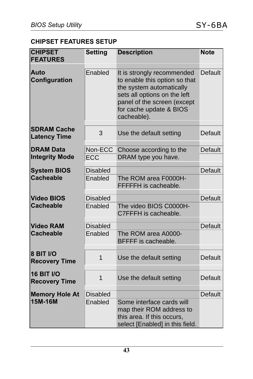#### **CHIPSET FEATURES SETUP**

| <b>CHIPSET</b><br><b>FEATURES</b>         | <b>Setting</b>  | <b>Description</b>                                                                                                                                                                               | <b>Note</b> |
|-------------------------------------------|-----------------|--------------------------------------------------------------------------------------------------------------------------------------------------------------------------------------------------|-------------|
| Auto<br>Configuration                     | Enabled         | It is strongly recommended<br>to enable this option so that<br>the system automatically<br>sets all options on the left<br>panel of the screen (except<br>for cache update & BIOS<br>cacheable). | Default     |
| <b>SDRAM Cache</b><br><b>Latency Time</b> | 3               | Use the default setting                                                                                                                                                                          | Default     |
| <b>DRAM Data</b><br><b>Integrity Mode</b> | Non-ECC<br>ECC  | Choose according to the<br>DRAM type you have.                                                                                                                                                   | Default     |
| <b>System BIOS</b>                        | <b>Disabled</b> |                                                                                                                                                                                                  | Default     |
| <b>Cacheable</b>                          | Enabled         | The ROM area F0000H-<br>FFFFFH is cacheable.                                                                                                                                                     |             |
| <b>Video BIOS</b>                         | <b>Disabled</b> |                                                                                                                                                                                                  | Default     |
| <b>Cacheable</b>                          | Enabled         | The video BIOS C0000H-<br>C7FFFH is cacheable.                                                                                                                                                   |             |
| <b>Video RAM</b>                          | <b>Disabled</b> |                                                                                                                                                                                                  | Default     |
| <b>Cacheable</b>                          | Enabled         | The ROM area A0000-<br><b>BFFFF</b> is cacheable.                                                                                                                                                |             |
| 8 BIT I/O<br><b>Recovery Time</b>         | $\overline{1}$  | Use the default setting                                                                                                                                                                          | Default     |
| <b>16 BIT I/O</b><br><b>Recovery Time</b> | 1               | Use the default setting                                                                                                                                                                          | Default     |
| <b>Memory Hole At</b>                     | <b>Disabled</b> |                                                                                                                                                                                                  | Default     |
| 15M-16M                                   | Enabled         | Some interface cards will<br>map their ROM address to<br>this area. If this occurs,<br>select [Enabled] in this field.                                                                           |             |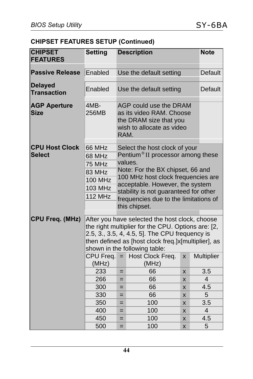#### **CHIPSET FEATURES SETUP (Continued)**

| <b>CHIPSET</b><br><b>FEATURES</b>      | <b>Setting</b>                                                                                                                                                                                                                                                                                            | <b>Description</b>                                                                                                                                                                                                                                                                                        | <b>Note</b>             |                |                       |  |
|----------------------------------------|-----------------------------------------------------------------------------------------------------------------------------------------------------------------------------------------------------------------------------------------------------------------------------------------------------------|-----------------------------------------------------------------------------------------------------------------------------------------------------------------------------------------------------------------------------------------------------------------------------------------------------------|-------------------------|----------------|-----------------------|--|
| <b>Passive Release</b>                 | Enabled                                                                                                                                                                                                                                                                                                   |                                                                                                                                                                                                                                                                                                           | Use the default setting |                | <b>Default</b>        |  |
| <b>Delayed</b><br><b>Transaction</b>   | Enabled                                                                                                                                                                                                                                                                                                   |                                                                                                                                                                                                                                                                                                           | Use the default setting | <b>Default</b> |                       |  |
| <b>AGP Aperture</b><br><b>Size</b>     | 4MB-<br>256MB                                                                                                                                                                                                                                                                                             | AGP could use the DRAM<br>as its video RAM. Choose<br>the DRAM size that you<br>wish to allocate as video<br>RAM.                                                                                                                                                                                         |                         |                |                       |  |
| <b>CPU Host Clock</b><br><b>Select</b> | 66 MHz<br>68 MHz<br>75 MHz<br>83 MHz<br><b>100 MHz</b><br><b>103 MHz</b><br><b>112 MHz</b>                                                                                                                                                                                                                | Select the host clock of your<br>Pentium <sup>®</sup> II processor among these<br>values.<br>Note: For the BX chipset, 66 and<br>100 MHz host clock frequencies are<br>acceptable. However, the system<br>stability is not guaranteed for other<br>frequencies due to the limitations of<br>this chipset. |                         |                |                       |  |
| <b>CPU Freq. (MHz)</b>                 | After you have selected the host clock, choose<br>the right multiplier for the CPU. Options are: [2,<br>2.5, 3., 3.5, 4, 4.5, 5]. The CPU frequency is<br>then defined as [host clock freq.]x[multiplier], as<br>shown in the following table:<br>CPU Freq.<br>Host Clock Freq.<br>Multiplier<br>$=$<br>X |                                                                                                                                                                                                                                                                                                           |                         |                |                       |  |
|                                        | (MHz)                                                                                                                                                                                                                                                                                                     |                                                                                                                                                                                                                                                                                                           | (MHz)                   |                |                       |  |
|                                        | 233<br>266                                                                                                                                                                                                                                                                                                | $=$<br>$=$                                                                                                                                                                                                                                                                                                | 66<br>66                | X<br>X         | 3.5<br>$\overline{4}$ |  |
|                                        | 300                                                                                                                                                                                                                                                                                                       | $=$                                                                                                                                                                                                                                                                                                       | 66                      | X              | 4.5                   |  |
|                                        | 330                                                                                                                                                                                                                                                                                                       | $=$                                                                                                                                                                                                                                                                                                       | 66                      | X              | 5                     |  |
|                                        | 350                                                                                                                                                                                                                                                                                                       | $=$                                                                                                                                                                                                                                                                                                       | 100                     | X              | 3.5                   |  |
|                                        | 400                                                                                                                                                                                                                                                                                                       | $=$                                                                                                                                                                                                                                                                                                       | 100                     | X              | $\overline{4}$        |  |
|                                        | 450                                                                                                                                                                                                                                                                                                       | $=$                                                                                                                                                                                                                                                                                                       | 100                     | X              | 4.5                   |  |
|                                        | 500                                                                                                                                                                                                                                                                                                       | =                                                                                                                                                                                                                                                                                                         | 100                     | X              | 5                     |  |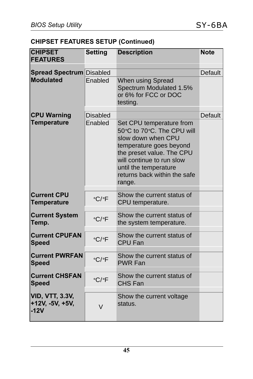#### **CHIPSET FEATURES SETUP (Continued)**

| <b>CHIPSET</b><br><b>FEATURES</b>                   | <b>Setting</b>       | <b>Description</b>                                                                                                                                                                                                                   | <b>Note</b> |
|-----------------------------------------------------|----------------------|--------------------------------------------------------------------------------------------------------------------------------------------------------------------------------------------------------------------------------------|-------------|
| <b>Spread Spectrum Disabled</b>                     |                      |                                                                                                                                                                                                                                      | Default     |
| <b>Modulated</b>                                    | Enabled              | When using Spread<br>Spectrum Modulated 1.5%<br>or 6% for FCC or DOC<br>testing.                                                                                                                                                     |             |
| <b>CPU Warning</b>                                  | <b>Disabled</b>      |                                                                                                                                                                                                                                      | Default     |
| <b>Temperature</b>                                  | Enabled              | Set CPU temperature from<br>50°C to 70°C. The CPU will<br>slow down when CPU<br>temperature goes beyond<br>the preset value. The CPU<br>will continue to run slow<br>until the temperature<br>returns back within the safe<br>range. |             |
| <b>Current CPU</b><br><b>Temperature</b>            | $\circ$ C/ $\circ$ F | Show the current status of<br>CPU temperature.                                                                                                                                                                                       |             |
| <b>Current System</b><br>Temp.                      | $\circ$ C/ $\circ$ F | Show the current status of<br>the system temperature.                                                                                                                                                                                |             |
| <b>Current CPUFAN</b><br><b>Speed</b>               | $\circ$ C/ $\circ$ F | Show the current status of<br><b>CPU Fan</b>                                                                                                                                                                                         |             |
| <b>Current PWRFAN</b><br><b>Speed</b>               | $\circ$ C/ $\circ$ F | Show the current status of<br><b>PWR Fan</b>                                                                                                                                                                                         |             |
| <b>Current CHSFAN</b><br><b>Speed</b>               | $\circ$ C/ $\circ$ F | Show the current status of<br>CHS Fan                                                                                                                                                                                                |             |
| <b>VID, VTT, 3.3V,</b><br>+12V, -5V, +5V,<br>$-12V$ | $\vee$               | Show the current voltage<br>status.                                                                                                                                                                                                  |             |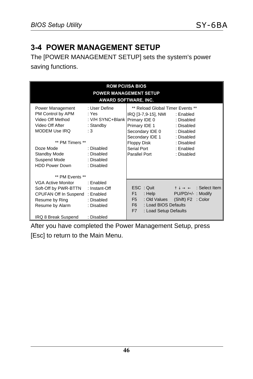## **3-4 POWER MANAGEMENT SETUP**

The [POWER MANAGEMENT SETUP] sets the system's power saving functions.

| <b>ROM PCI/ISA BIOS</b><br><b>POWER MANAGEMENT SETUP</b><br><b>AWARD SOFTWARE, INC.</b>                                                                                                |                                                                                                                        |                                                                                                                                                                                |                                                                                                                    |  |
|----------------------------------------------------------------------------------------------------------------------------------------------------------------------------------------|------------------------------------------------------------------------------------------------------------------------|--------------------------------------------------------------------------------------------------------------------------------------------------------------------------------|--------------------------------------------------------------------------------------------------------------------|--|
| Power Management<br>PM Control by APM<br>Video Off Method<br>Video Off After<br>MODEM Use IRQ<br>** PM Timers **<br>Doze Mode<br>Standby Mode<br>Suspend Mode<br><b>HDD Power Down</b> | : User Define<br>: Yes<br>: V/H SYNC+Blank<br>: Standby<br>: 3<br>: Disabled<br>: Disabled<br>: Disabled<br>: Disabled | ** Reload Global Timer Events **<br>IRQ [3-7,9-15], NMI<br>Primary IDE 0<br>Primary IDE 1<br>Secondary IDE 0<br>Secondary IDE 1<br>Floppy Disk<br>Serial Port<br>Parallel Port | : Enabled<br>: Disabled<br>: Disabled<br>: Disabled<br>: Disabled<br>: Disabled<br>: Enabled<br>: Disabled         |  |
| ** PM Fvents **<br>VGA Active Monitor<br>Soft-Off by PWR-BTTN<br>CPUFAN Off In Suspend: Enabled<br>Resume by Ring<br>Resume by Alarm<br>IRQ 8 Break Suspend                            | · Fnabled<br>: Instant-Off<br>: Disabled<br>: Disabled<br>: Disabled                                                   | ESC: Quit<br>: $\mathsf{Help}$<br>F1<br>F <sub>5</sub><br>: Load BIOS Defaults<br>F <sub>6</sub><br>F7<br>: Load Setup Defaults                                                | $\uparrow \downarrow \rightarrow \leftarrow$ : Select Item<br>PU/PD/+/-: Modify<br>: Old Values (Shift) F2 : Color |  |

After you have completed the Power Management Setup, press [Esc] to return to the Main Menu.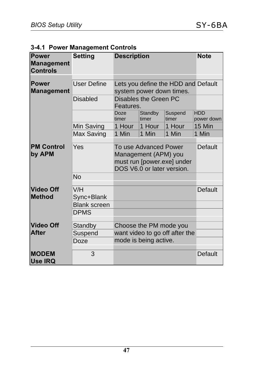|  |  | 3-4.1 Power Management Controls |  |
|--|--|---------------------------------|--|
|--|--|---------------------------------|--|

| <b>Power</b><br><b>Management</b><br><b>Controls</b>                                                                                            | <b>Setting</b>                                                                        | <b>Description</b> |                        |                                | <b>Note</b>              |
|-------------------------------------------------------------------------------------------------------------------------------------------------|---------------------------------------------------------------------------------------|--------------------|------------------------|--------------------------------|--------------------------|
| <b>Power</b><br><b>Management</b>                                                                                                               | <b>User Define</b><br>Lets you define the HDD and Default<br>system power down times. |                    |                        |                                |                          |
|                                                                                                                                                 | Disabled                                                                              | Features.          | Disables the Green PC  |                                |                          |
|                                                                                                                                                 |                                                                                       | Doze<br>timer      | Standby<br>timer       | Suspend<br>timer               | <b>HDD</b><br>power down |
|                                                                                                                                                 | Min Saving                                                                            | 1 Hour             | 1 Hour                 | 1 Hour                         | 15 Min                   |
|                                                                                                                                                 | Max Saving                                                                            | 1 Min              | 1 Min                  | 1 Min                          | 1 Min                    |
| Yes<br><b>PM Control</b><br>To use Advanced Power<br>by APM<br>Management (APM) you<br>must run [power.exe] under<br>DOS V6.0 or later version. |                                                                                       |                    |                        |                                | Default                  |
|                                                                                                                                                 | <b>No</b>                                                                             |                    |                        |                                |                          |
| <b>Video Off</b><br><b>Method</b>                                                                                                               | V/H<br>Sync+Blank                                                                     |                    |                        |                                | <b>Default</b>           |
|                                                                                                                                                 | <b>Blank screen</b>                                                                   |                    |                        |                                |                          |
|                                                                                                                                                 | <b>DPMS</b>                                                                           |                    |                        |                                |                          |
| <b>Video Off</b>                                                                                                                                | Standby                                                                               |                    | Choose the PM mode you |                                |                          |
| <b>After</b>                                                                                                                                    | Suspend                                                                               |                    |                        | want video to go off after the |                          |
|                                                                                                                                                 | Doze                                                                                  |                    | mode is being active.  |                                |                          |
| <b>MODEM</b><br><b>Use IRQ</b>                                                                                                                  | 3                                                                                     |                    |                        |                                | Default                  |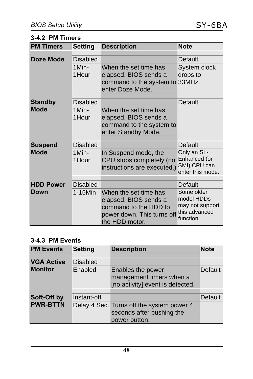#### **3-4.2 PM Timers**

| <b>PM Timers</b> | <b>Setting</b>  | <b>Description</b>                                                                                                      | <b>Note</b>                                                               |
|------------------|-----------------|-------------------------------------------------------------------------------------------------------------------------|---------------------------------------------------------------------------|
| <b>Doze Mode</b> | Disabled        |                                                                                                                         | Default                                                                   |
|                  | 1Min-<br>1Hour  | When the set time has<br>elapsed, BIOS sends a<br>command to the system to 33MHz.<br>enter Doze Mode.                   | System clock<br>drops to                                                  |
| <b>Standby</b>   | <b>Disabled</b> |                                                                                                                         | Default                                                                   |
| <b>Mode</b>      | 1Min-<br>1Hour  | When the set time has<br>elapsed, BIOS sends a<br>command to the system to<br>enter Standby Mode.                       |                                                                           |
| <b>Suspend</b>   | Disabled        |                                                                                                                         | Default                                                                   |
| <b>Mode</b>      | 1Min-<br>1Hour  | In Suspend mode, the<br>CPU stops completely (no<br>instructions are executed.)                                         | Only an SL-<br>Enhanced (or<br>SMI) CPU can<br>enter this mode.           |
| <b>HDD Power</b> | <b>Disabled</b> |                                                                                                                         | Default                                                                   |
| <b>IDown</b>     | 1-15Min         | When the set time has<br>elapsed, BIOS sends a<br>command to the HDD to<br>power down. This turns off<br>the HDD motor. | Some older<br>model HDDs<br>may not support<br>this advanced<br>function. |

#### **3-4.3 PM Events**

| <b>PM Events</b>  | <b>Setting</b>  | <b>Description</b>                                                                | <b>Note</b>    |
|-------------------|-----------------|-----------------------------------------------------------------------------------|----------------|
|                   |                 |                                                                                   |                |
| <b>VGA Active</b> | <b>Disabled</b> |                                                                                   |                |
| <b>Monitor</b>    | Enabled         | Enables the power<br>management timers when a<br>[no activity] event is detected. | Default        |
|                   |                 |                                                                                   |                |
| Soft-Off by       | Instant-off     |                                                                                   | <b>Default</b> |
| <b>PWR-BTTN</b>   |                 | Delay 4 Sec. Turns off the system power 4<br>seconds after pushing the            |                |
|                   |                 | power button.                                                                     |                |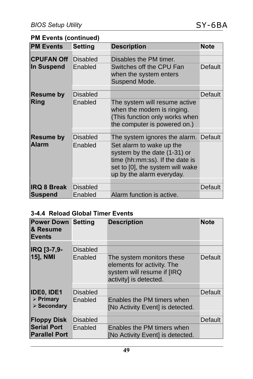#### **PM Events (continued)**

| <b>PM Events</b>   | <b>Setting</b>  | <b>Description</b>                                                                                                                                           | <b>Note</b> |
|--------------------|-----------------|--------------------------------------------------------------------------------------------------------------------------------------------------------------|-------------|
| <b>CPUFAN Off</b>  | Disabled        | Disables the PM timer.                                                                                                                                       |             |
| In Suspend         | Enabled         | Switches off the CPU Fan<br>when the system enters<br>Suspend Mode.                                                                                          | Default     |
| <b>Resume by</b>   | Disabled        |                                                                                                                                                              | Default     |
| Ring               | Enabled         | The system will resume active<br>when the modem is ringing.<br>(This function only works when<br>the computer is powered on.)                                |             |
| <b>Resume by</b>   | <b>Disabled</b> | The system ignores the alarm. Default                                                                                                                        |             |
| <b>Alarm</b>       | Enabled         | Set alarm to wake up the<br>system by the date (1-31) or<br>time (hh:mm:ss). If the date is<br>set to [0], the system will wake<br>up by the alarm everyday. |             |
| <b>IRQ 8 Break</b> | <b>Disabled</b> |                                                                                                                                                              | Default     |
| <b>Suspend</b>     | Enabled         | Alarm function is active.                                                                                                                                    |             |

#### **3-4.4 Reload Global Timer Events**

| <b>Power Down Setting</b><br><b>&amp; Resume</b><br>Events |          | <b>Description</b>                                                                                              | <b>Note</b>    |
|------------------------------------------------------------|----------|-----------------------------------------------------------------------------------------------------------------|----------------|
|                                                            |          |                                                                                                                 |                |
| IRQ [3-7,9-                                                | Disabled |                                                                                                                 |                |
| 15], NMI                                                   | Enabled  | The system monitors these<br>elements for activity. The<br>system will resume if [IRQ<br>activity] is detected. | Default        |
| <b>IDEO, IDE1</b>                                          | Disabled |                                                                                                                 | Default        |
| $\triangleright$ Primary<br>$\triangleright$ Secondary     | Enabled  | Enables the PM timers when<br>[No Activity Event] is detected.                                                  |                |
| <b>Floppy Disk</b>                                         | Disabled |                                                                                                                 | <b>Default</b> |
| <b>Serial Port</b><br><b>Parallel Port</b>                 | Enabled  | Enables the PM timers when<br>[No Activity Event] is detected.                                                  |                |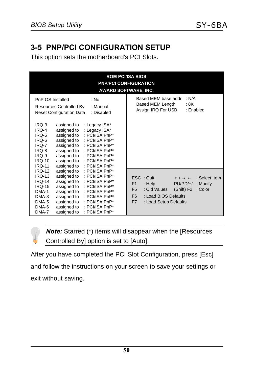## **3-5 PNP/PCI CONFIGURATION SETUP**

This option sets the motherboard's PCI Slots.

| <b>ROM PCI/ISA BIOS</b><br><b>PNP/PCI CONFIGURATION</b><br><b>AWARD SOFTWARE, INC.</b>                                                                                                                                                                                                                                                                                                                                                                                                                                               |                                                                                                                                                                                                                                                  |  |  |
|--------------------------------------------------------------------------------------------------------------------------------------------------------------------------------------------------------------------------------------------------------------------------------------------------------------------------------------------------------------------------------------------------------------------------------------------------------------------------------------------------------------------------------------|--------------------------------------------------------------------------------------------------------------------------------------------------------------------------------------------------------------------------------------------------|--|--|
| PnP OS Installed<br>: No<br>Resources Controlled By<br>: Manual<br><b>Reset Configuration Data</b><br>: Disabled<br>IRQ-3<br>assigned to<br>: Legacy ISA*<br>IRQ-4<br>assigned to<br>: Legacy ISA*<br>: PCI/ISA PnP*<br>assigned to<br>IRQ-5<br>IRQ-6<br>assigned to<br>: PCI/ISA $PnP^*$<br>assigned to<br>IRQ-7<br>: PCI/ISA $PnP^*$<br>assigned to<br>IRQ-8<br>: PCI/ISA $PnP^*$<br>IRQ-9<br>assigned to<br>: PCI/ISA PnP*<br><b>IRQ-10</b><br>assigned to<br>: PCI/ISA $PnP^*$<br>assigned to<br>: PCI/ISA PnP*<br><b>IRQ-11</b> | Based MEM base addr<br>: N/A<br>Based MEM Length<br>: 8K<br>Assign IRQ For USB<br>: Enabled                                                                                                                                                      |  |  |
| : PCI/ISA PnP*<br><b>IRQ-12</b><br>assigned to<br>assigned to<br>: PCI/ISA PnP*<br><b>IRO-13</b><br>assigned to<br>: PCI/ISA PnP*<br><b>IRQ-14</b><br><b>IRQ-15</b><br>assigned to<br>: PCI/ISA PnP*<br>assigned to<br>DMA-1<br>: PCI/ISA PnP*<br>: PCI/ISA $PnP^*$<br>DMA-3<br>assigned to<br>assigned to<br>: PCI/ISA PnP*<br>DMA-5<br>DMA-6<br>assigned to<br>: PCI/ISA PnP*<br>DMA-7<br>assigned to<br>: PCI/ISA PnP*                                                                                                            | ESC: Quit<br>$\uparrow \downarrow \rightarrow \leftarrow$ : Select Item<br>F1<br>: Help<br>PU/PD/+/-: Modify<br>: Old Values<br>(Shift) F2<br>F <sub>5</sub><br>: Color<br>: Load BIOS Defaults<br>F <sub>6</sub><br>F7<br>: Load Setup Defaults |  |  |

*Note:* Starred (\*) items will disappear when the [Resources  $\bigcap$ Controlled By] option is set to [Auto].

After you have completed the PCI Slot Configuration, press [Esc] and follow the instructions on your screen to save your settings or exit without saving.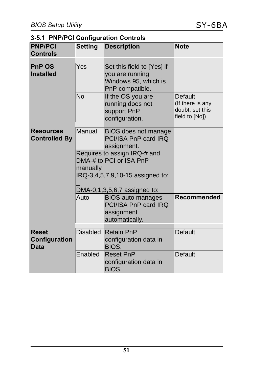#### **3-5.1 PNP/PCI Configuration Controls**

| <b>PNP/PCI</b><br><b>Controls</b>            | <b>Setting</b>  | <b>Description</b>                                                                          | <b>Note</b>                                                      |
|----------------------------------------------|-----------------|---------------------------------------------------------------------------------------------|------------------------------------------------------------------|
| <b>PnP OS</b><br><b>Installed</b>            | Yes             | Set this field to [Yes] if<br>you are running<br>Windows 95, which is<br>PnP compatible.    |                                                                  |
|                                              | <b>No</b>       | If the OS you are<br>running does not<br>support PnP<br>configuration.                      | Default<br>(If there is any<br>doubt, set this<br>field to [No]) |
| <b>Resources</b><br><b>Controlled By</b>     | Manual          | BIOS does not manage<br>PCI/ISA PnP card IRQ<br>assignment.                                 |                                                                  |
|                                              | manually.       | Requires to assign IRQ-# and<br>DMA-# to PCI or ISA PnP<br>IRQ-3,4,5,7,9,10-15 assigned to: |                                                                  |
|                                              | Auto            | DMA-0,1,3,5,6,7 assigned to:                                                                |                                                                  |
|                                              |                 | <b>BIOS</b> auto manages<br>PCI/ISA PnP card IRQ<br>assignment<br>automatically.            | Recommended                                                      |
| <b>Reset</b><br>Configuration<br><b>Data</b> | <b>Disabled</b> | <b>Retain PnP</b><br>configuration data in<br>BIOS.                                         | Default                                                          |
|                                              | Enabled         | <b>Reset PnP</b><br>configuration data in<br>BIOS.                                          | Default                                                          |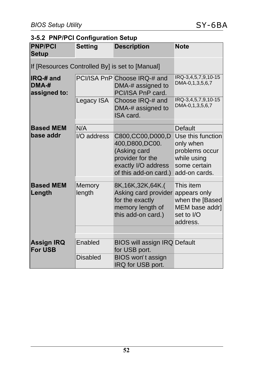#### **3-5.2 PNP/PCI Configuration Setup**

| <b>PNP/PCI</b><br><b>Setup</b>              | <b>Setting</b>                                  | <b>Description</b>                                                                                                          | <b>Note</b>                                                                                      |  |  |
|---------------------------------------------|-------------------------------------------------|-----------------------------------------------------------------------------------------------------------------------------|--------------------------------------------------------------------------------------------------|--|--|
|                                             | If [Resources Controlled By] is set to [Manual] |                                                                                                                             |                                                                                                  |  |  |
| <b>IRQ-#</b> and<br>$DMA-#$<br>assigned to: |                                                 | PCI/ISA PnP Choose IRQ-# and<br>DMA-# assigned to<br>PCI/ISA PnP card.                                                      | IRQ-3,4,5,7,9,10-15<br>DMA-0,1,3,5,6,7                                                           |  |  |
|                                             | Legacy ISA                                      | Choose IRQ-# and<br>DMA-# assigned to<br>ISA card.                                                                          | IRQ-3,4,5,7,9,10-15<br>DMA-0,1,3,5,6,7                                                           |  |  |
| <b>Based MEM</b>                            | N/A                                             |                                                                                                                             | Default                                                                                          |  |  |
| base addr                                   | I/O address                                     | C800, CC00, D000, D<br>400, D800, DC00.<br>(Asking card<br>provider for the<br>exactly I/O address<br>of this add-on card.) | Use this function<br>only when<br>problems occur<br>while using<br>some certain<br>add-on cards. |  |  |
| <b>Based MEM</b><br>Length                  | Memory<br>length                                | 8K, 16K, 32K, 64K.<br>Asking card provider<br>for the exactly<br>memory length of<br>this add-on card.)                     | This item<br>appears only<br>when the [Based<br>MEM base addr]<br>set to I/O<br>address.         |  |  |
|                                             |                                                 |                                                                                                                             |                                                                                                  |  |  |
| <b>Assign IRQ</b><br><b>For USB</b>         | Enabled                                         | <b>BIOS will assign IRQ Default</b><br>for USB port.                                                                        |                                                                                                  |  |  |
|                                             | <b>Disabled</b>                                 | BIOS won't assign<br>IRQ for USB port.                                                                                      |                                                                                                  |  |  |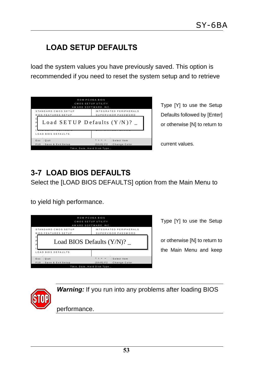## **LOAD SETUP DEFAULTS**

load the system values you have previously saved. This option is recommended if you need to reset the system setup and to retrieve

| ROM PCI/ISA BIOS<br>CMOS SETUP UTH ITY<br>AWARD SOFTWARE. INC.<br>STANDARD CMOS SETUP<br><b>BIOS FEATURES SETUP</b><br>Load SETUP Defaults $(Y/N)$ ? | INTEGRATED PERIPHERALS<br>SUPERVISOR PASSWORD              |
|------------------------------------------------------------------------------------------------------------------------------------------------------|------------------------------------------------------------|
| <b>LOAD BIOS DEFAULTS</b>                                                                                                                            |                                                            |
| Esc: Quit                                                                                                                                            | $\uparrow \downarrow \rightarrow \leftarrow$ : Select Item |
| F10: Save & Exit Setup                                                                                                                               | (Shift) F2 : Change Color                                  |
| Time, Date, Hard Disk Type                                                                                                                           |                                                            |

Type [Y] to use the Setup Defaults followed by [Enter] or otherwise [N] to return to

current values.

## **3-7 LOAD BIOS DEFAULTS**

Select the [LOAD BIOS DEFAULTS] option from the Main Menu to

to yield high performance.

|                            | ROM PCI/ISA RIOS<br>CMOS SETUP UTILITY<br>AWARD SOFTWARE. INC. |
|----------------------------|----------------------------------------------------------------|
| STANDARD CMOS SETUP        | INTEGRATED PERIPHERALS                                         |
| <b>BIOS FEATURES SETUP</b> | SUPERVISOR PASSWORD                                            |
|                            |                                                                |
|                            | Load BIOS Defaults (Y/N)?                                      |
| <b>LOAD BIOS DEFAULTS</b>  |                                                                |
| Esc: Quit                  | $\uparrow \downarrow \rightarrow \leftarrow$ : Select Item     |
| F10: Save & Exit Setup     | (Shift) F2 : Change Color                                      |

Type [Y] to use the Setup

or otherwise [N] to return to the Main Menu and keep

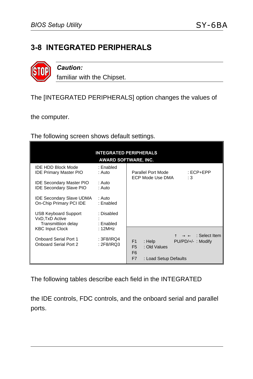#### **3-8 INTEGRATED PERIPHERALS**



*Caution:*

familiar with the Chipset.

The [INTEGRATED PERIPHERALS] option changes the values of

the computer.

The following screen shows default settings.

| <b>INTEGRATED PERIPHERALS</b><br>AWARD SOFTWARE, INC.                                          |                                   |                                                                                                                                                                    |  |  |
|------------------------------------------------------------------------------------------------|-----------------------------------|--------------------------------------------------------------------------------------------------------------------------------------------------------------------|--|--|
| <b>IDE HDD Block Mode</b><br><b>IDE Primary Master PIO</b><br><b>IDE Secondary Master PIO</b>  | : Enabled<br>: Auto<br>∴ Auto     | Parallel Port Mode<br>$ECP + EPP$<br>ECP Mode Use DMA<br>:3                                                                                                        |  |  |
| <b>IDE Secondary Slave PIO</b><br><b>IDE Secondary Slave UDMA</b><br>On-Chip Primary PCI IDE   | : Auto<br>∴ Auto<br>: Enabled     |                                                                                                                                                                    |  |  |
| <b>USB Keyboard Support</b><br>VxD.TxD Active<br>Transmittiion delay<br><b>KBC Input Clock</b> | : Disabled<br>: Enabled<br>:12MHz |                                                                                                                                                                    |  |  |
| <b>Onboard Serial Port 1</b><br>Onboard Serial Port 2                                          | : $3F8/IRQ4$<br>: 2F8/IRQ3        | $\rightarrow$ $\leftarrow$ : Select Item<br>F1<br>: Help<br>$PU/PD/+/$ : Modify<br>F <sub>5</sub><br>: Old Values<br>F <sub>6</sub><br>F7<br>: Load Setup Defaults |  |  |

The following tables describe each field in the INTEGRATED

the IDE controls, FDC controls, and the onboard serial and parallel ports.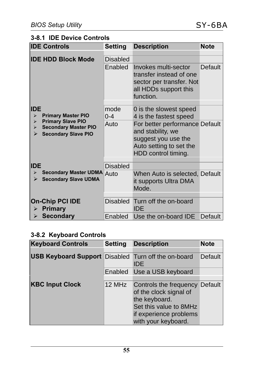#### **3-8.1 IDE Device Controls**

| <b>IDE Controls</b>                                                                                                      | Setting         | <b>Description</b>                                                                                                           | <b>Note</b> |
|--------------------------------------------------------------------------------------------------------------------------|-----------------|------------------------------------------------------------------------------------------------------------------------------|-------------|
| <b>IDE HDD Block Mode</b>                                                                                                | Disabled        |                                                                                                                              |             |
|                                                                                                                          | Enabled         | Invokes multi-sector<br>transfer instead of one<br>sector per transfer. Not<br>all HDDs support this<br>function.            | Default     |
| <b>IDE</b><br><b>Primary Master PIO</b><br>⋗                                                                             | mode<br>$0 - 4$ | 0 is the slowest speed<br>4 is the fastest speed                                                                             |             |
| <b>Primary Slave PIO</b><br>$\blacktriangleright$<br><b>Secondary Master PIO</b><br>⋗<br><b>Secondary Slave PIO</b><br>⋗ | Auto            | For better performance Default<br>and stability, we<br>suggest you use the<br>Auto setting to set the<br>HDD control timing. |             |
| <b>IDE</b>                                                                                                               | <b>Disabled</b> |                                                                                                                              |             |
| <b>Secondary Master UDMA Auto</b><br>➤<br><b>Secondary Slave UDMA</b><br>⋗                                               |                 | When Auto is selected, Default<br>it supports Ultra DMA<br>Mode.                                                             |             |
| <b>On-Chip PCI IDE</b><br><b>Primary</b><br>⋗                                                                            | Disabled        | Turn off the on-board<br><b>IDE</b>                                                                                          |             |
| $\triangleright$ Secondary                                                                                               | Enabled         | Use the on-board IDE                                                                                                         | Default     |

#### **3-8.2 Keyboard Controls**

| <b>Keyboard Controls</b>                                   | <b>Setting</b> | <b>Description</b>                                                                                                                                   | <b>Note</b> |
|------------------------------------------------------------|----------------|------------------------------------------------------------------------------------------------------------------------------------------------------|-------------|
|                                                            |                |                                                                                                                                                      |             |
| <b>USB Keyboard Support Disabled Turn off the on-board</b> |                | IDE.                                                                                                                                                 | Default     |
|                                                            |                | Enabled Use a USB keyboard                                                                                                                           |             |
| <b>KBC Input Clock</b>                                     | 12 MHz         | Controls the frequency Default<br>of the clock signal of<br>the keyboard.<br>Set this value to 8MHz<br>if experience problems<br>with your keyboard. |             |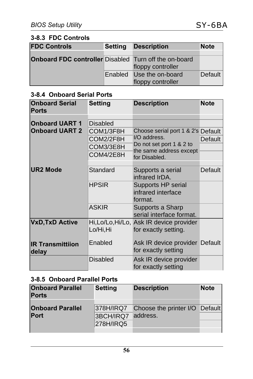#### **3-8.3 FDC Controls**

| <b>FDC Controls</b>                                          | <b>Setting</b> | <b>Description</b>       | <b>Note</b> |
|--------------------------------------------------------------|----------------|--------------------------|-------------|
|                                                              |                |                          |             |
| <b>Onboard FDC controller</b> Disabled Turn off the on-board |                |                          |             |
|                                                              |                | floppy controller        |             |
|                                                              |                | Enabled Use the on-board | Default     |
|                                                              |                | floppy controller        |             |

#### **3-8.4 Onboard Serial Ports**

| <b>Onboard Serial</b><br><b>Ports</b>          | <b>Setting</b>                                                      | <b>Description</b>                                                                                                         | <b>Note</b> |
|------------------------------------------------|---------------------------------------------------------------------|----------------------------------------------------------------------------------------------------------------------------|-------------|
| <b>Onboard UART 1</b><br><b>Onboard UART 2</b> | <b>Disabled</b><br>COM1/3F8H<br>COM2/2F8H<br>COM3/3E8H<br>COM4/2E8H | Choose serial port 1 & 2's Default<br>I/O address.<br>Do not set port 1 & 2 to<br>the same address except<br>for Disabled. | Default     |
| <b>UR2 Mode</b>                                | Standard                                                            | Supports a serial<br>infrared IrDA.                                                                                        | Default     |
|                                                | <b>HPSIR</b>                                                        | Supports HP serial<br>infrared interface<br>format.                                                                        |             |
|                                                | <b>ASKIR</b>                                                        | Supports a Sharp<br>serial interface format.                                                                               |             |
| <b>VxD, TxD Active</b>                         | Lo/Hi,Hi                                                            | Hi, Lo/Lo, Hi/Lo, Ask IR device provider<br>for exactly setting.                                                           |             |
| <b>IR Transmittiion</b><br><b>delay</b>        | Enabled                                                             | Ask IR device provider Default<br>for exactly setting                                                                      |             |
|                                                | Disabled                                                            | Ask IR device provider<br>for exactly setting                                                                              |             |

#### **3-8.5 Onboard Parallel Ports**

| <b>Onboard Parallel</b><br><b>Ports</b> | <b>Setting</b>         | <b>Description</b>                                   | <b>Note</b> |
|-----------------------------------------|------------------------|------------------------------------------------------|-------------|
| <b>Onboard Parallel</b><br>Port         | 3BCH/IRQ7<br>278H/IRQ5 | 378H/IRQ7 Choose the printer I/O Default<br>address. |             |
|                                         |                        |                                                      |             |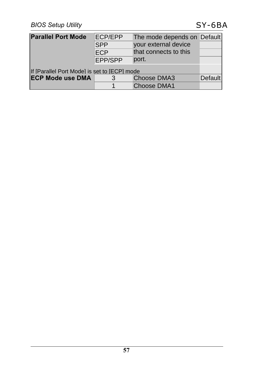| <b>Parallel Port Mode</b>                    | ECP/EPP<br><b>SPP</b> | The mode depends on Default<br>your external device |                |
|----------------------------------------------|-----------------------|-----------------------------------------------------|----------------|
|                                              | ECP                   | that connects to this                               |                |
|                                              | EPP/SPP               | port.                                               |                |
| If [Parallel Port Mode] is set to [ECP] mode |                       |                                                     |                |
| <b>ECP Mode use DMA</b>                      |                       | Choose DMA3                                         | <b>Default</b> |
|                                              |                       | <b>Choose DMA1</b>                                  |                |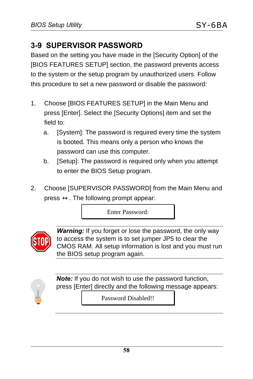## **3-9 SUPERVISOR PASSWORD**

Based on the setting you have made in the [Security Option] of the [BIOS FEATURES SETUP] section, the password prevents access to the system or the setup program by unauthorized users. Follow this procedure to set a new password or disable the password:

- 1. Choose [BIOS FEATURES SETUP] in the Main Menu and press [Enter]. Select the [Security Options] item and set the field to:
	- a. [System]: The password is required every time the system is booted. This means only a person who knows the password can use this computer.
	- b. [Setup]: The password is required only when you attempt to enter the BIOS Setup program.
- 2. Choose [SUPERVISOR PASSWORD] from the Main Menu and press  $\leftrightarrow$ . The following prompt appear:

Enter Password:



*Warning:* If you forget or lose the password, the only way to access the system is to set jumper JP5 to clear the CMOS RAM. All setup information is lost and you must run the BIOS setup program again.



*Note:* If you do not wish to use the password function, press [Enter] directly and the following message appears:

Password Disabled!!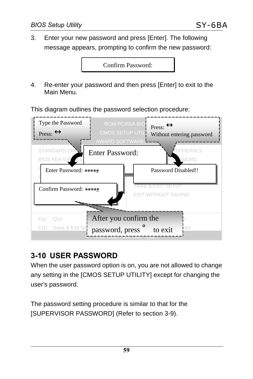3. Enter your new password and press [Enter]. The following message appears, prompting to confirm the new password:

Confirm Password:

4. Re-enter your password and then press [Enter] to exit to the Main Menu.

This diagram outlines the password selection procedure:



## **3-10 USER PASSWORD**

When the user password option is on, you are not allowed to change any setting in the [CMOS SETUP UTILITY] except for changing the user's password.

The password setting procedure is similar to that for the [SUPERVISOR PASSWORD] (Refer to section 3-9).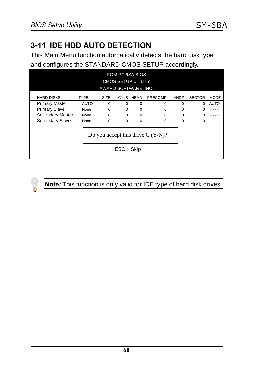## **3-11 IDE HDD AUTO DETECTION**

This Main Menu function automatically detects the hard disk type and configures the STANDARD CMOS SETUP accordingly.

| <b>ROM PCI/ISA BIOS</b><br><b>CMOS SETUP UTILITY</b><br>AWARD SOFTWARE, INC. |   |             |             |          |             |          |          |               |             |
|------------------------------------------------------------------------------|---|-------------|-------------|----------|-------------|----------|----------|---------------|-------------|
| HARD DISKS                                                                   |   | <b>TYPE</b> | <b>SIZE</b> |          | CYLS HEAD   | PRECOMP  | LANDZ    | <b>SECTOR</b> | <b>MODE</b> |
| <b>Primary Master</b>                                                        |   | : AUTO      | $\Omega$    | $\Omega$ | $\mathbf 0$ | $\Omega$ | $\Omega$ | $\Omega$      | AUTO        |
| <b>Primary Slave</b>                                                         |   | : None      | $\Omega$    | $\Omega$ | $\Omega$    | $\Omega$ | 0        |               |             |
| Secondary Master                                                             | ÷ | None        | $\Omega$    | $\Omega$ | $\mathbf 0$ | $\Omega$ | $\Omega$ |               |             |
| Secondary Slave                                                              |   | None        | $\Omega$    | $\Omega$ | $\Omega$    | $\Omega$ | 0        |               |             |
| Do you accept this drive C $(Y/N)$ ?<br>ESC: Skip                            |   |             |             |          |             |          |          |               |             |



#### *Note:* This function is only valid for IDE type of hard disk drives.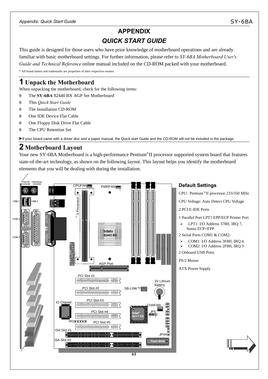# **APPENDIX** *QUICK START GUIDE*

This guide is designed for those users who have prior knowledge of motherboard operations and are already familiar with basic motherboard settings. For further information, please refer to *SY-6BA Motherboard User's Guide and Technical Reference* online manual included on the CD-ROM packed with your motherboard. \* All brand names and trademarks are properties of their respective owners

# **1 Unpack the Motherboard**

When unpacking the motherboard, check for the following items:

- θ The **SY-6BA** 82440 BX AGP Set Motherboard
- θ This *Quick Start Guide*
- θ The Installation CD-ROM
- θ One IDE Device Flat Cable
- θ One Floppy Disk Drive Flat Cable
- θ The CPU Retention Set

? If your board came with a driver disc and a paper manual, the Quick start Guide and the CD-ROM will not be included in the package.

# **2 Motherboard Layout**

Your new SY-6BA Motherboard is a high-performance Pentium®II processor supported system board that features state-of-the-art technology, as shown on the following layout. This layout helps you identify the motherboard elements that you will be dealing with during the installation.